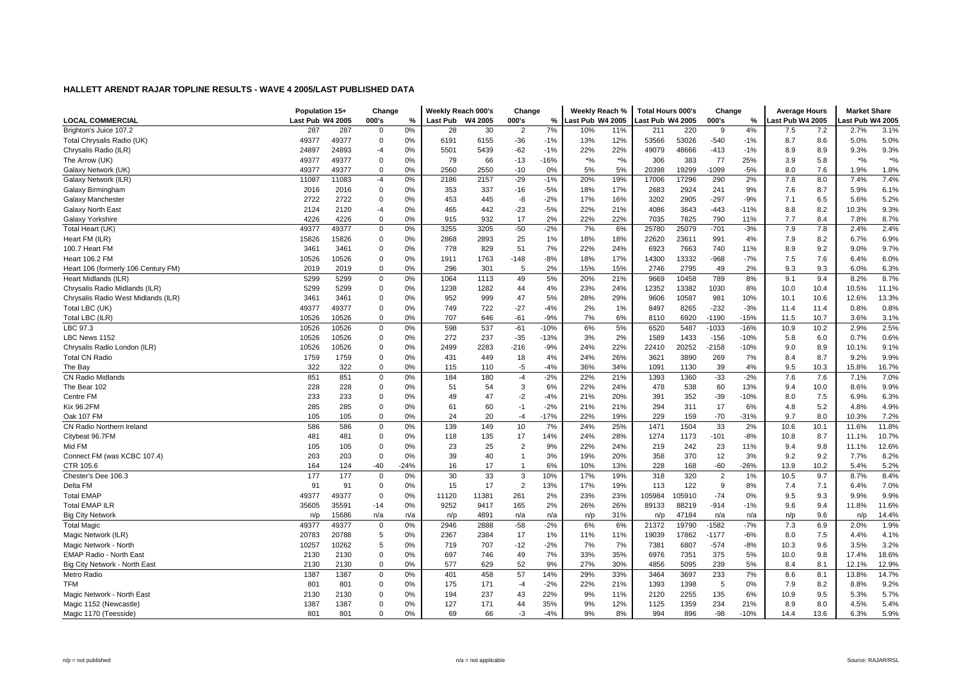|                                     | Population 15+   |       | Change      |        | Weekly Reach 000's |         | Change         |        | Weekly Reach %   |         | <b>Total Hours 000's</b> |        | Change         |        | <b>Average Hours</b> |      | <b>Market Share</b> |                    |
|-------------------------------------|------------------|-------|-------------|--------|--------------------|---------|----------------|--------|------------------|---------|--------------------------|--------|----------------|--------|----------------------|------|---------------------|--------------------|
| <b>LOCAL COMMERCIAL</b>             | Last Pub W4 2005 |       | 000's       | %      | <b>Last Pub</b>    | W4 2005 | 000's          | %      | Last Pub W4 2005 |         | ast Pub W4 2005          |        | 000's          | %      | Last Pub W4 2005     |      | ast Pub W4 2005     |                    |
| Brighton's Juice 107.2              | 287              | 287   | $\mathbf 0$ | 0%     | 28                 | 30      | $\overline{2}$ | 7%     | 10%              | 11%     | 211                      | 220    | -9             | 4%     | 7.5                  | 7.2  | 2.7%                | 3.1%               |
| Total Chrysalis Radio (UK)          | 49377            | 49377 | $\mathbf 0$ | 0%     | 6191               | 6155    | $-36$          | $-1%$  | 13%              | 12%     | 53566                    | 53026  | $-540$         | $-1%$  | 8.7                  | 8.6  | 5.0%                | 5.0%               |
| Chrysalis Radio (ILR)               | 24897            | 24893 | $-4$        | 0%     | 5501               | 5439    | $-62$          | $-1%$  | 22%              | 22%     | 49079                    | 48666  | $-413$         | $-1%$  | 8.9                  | 8.9  | 9.3%                | 9.3%               |
| The Arrow (UK)                      | 49377            | 49377 | 0           | 0%     | 79                 | 66      | $-13$          | $-16%$ | $*9/6$           | $*o/_0$ | 306                      | 383    | 77             | 25%    | 3.9                  | 5.8  | $*$ %               | $\boldsymbol{*}$ % |
| Galaxy Network (UK)                 | 49377            | 49377 | 0           | 0%     | 2560               | 2550    | $-10$          | 0%     | 5%               | 5%      | 20398                    | 19299  | $-1099$        | $-5%$  | 8.0                  | 7.6  | 1.9%                | 1.8%               |
| Galaxy Network (ILR)                | 11087            | 11083 | $-4$        | 0%     | 2186               | 2157    | $-29$          | $-1%$  | 20%              | 19%     | 17006                    | 17296  | 290            | 2%     | 7.8                  | 8.0  | 7.4%                | 7.4%               |
| Galaxy Birmingham                   | 2016             | 2016  | 0           | 0%     | 353                | 337     | $-16$          | $-5%$  | 18%              | 17%     | 2683                     | 2924   | 241            | 9%     | 7.6                  | 8.7  | 5.9%                | 6.1%               |
| Galaxy Manchester                   | 2722             | 2722  | $\mathbf 0$ | 0%     | 453                | 445     | -8             | $-2%$  | 17%              | 16%     | 3202                     | 2905   | $-297$         | $-9%$  | 7.1                  | 6.5  | 5.6%                | 5.2%               |
| Galaxy North East                   | 2124             | 2120  | $-4$        | 0%     | 465                | 442     | $-23$          | $-5%$  | 22%              | 21%     | 4086                     | 3643   | $-443$         | $-11%$ | 8.8                  | 8.2  | 10.3%               | 9.3%               |
| Galaxy Yorkshire                    | 4226             | 4226  | $\mathbf 0$ | 0%     | 915                | 932     | 17             | 2%     | 22%              | 22%     | 7035                     | 7825   | 790            | 11%    | 7.7                  | 8.4  | 7.8%                | 8.7%               |
| Total Heart (UK)                    | 49377            | 49377 | 0           | 0%     | 3255               | 3205    | $-50$          | $-2%$  | 7%               | 6%      | 25780                    | 25079  | $-701$         | $-3%$  | 7.9                  | 7.8  | 2.4%                | 2.4%               |
| Heart FM (ILR)                      | 15826            | 15826 | 0           | 0%     | 2868               | 2893    | 25             | 1%     | 18%              | 18%     | 22620                    | 23611  | 991            | 4%     | 7.9                  | 8.2  | 6.7%                | 6.9%               |
| 100.7 Heart FM                      | 3461             | 3461  | 0           | 0%     | 778                | 829     | 51             | 7%     | 22%              | 24%     | 6923                     | 7663   | 740            | 11%    | 8.9                  | 9.2  | 9.0%                | 9.7%               |
| <b>Heart 106.2 FM</b>               | 10526            | 10526 | 0           | 0%     | 1911               | 1763    | $-148$         | $-8%$  | 18%              | 17%     | 14300                    | 13332  | $-968$         | $-7%$  | 7.5                  | 7.6  | 6.4%                | 6.0%               |
| Heart 106 (formerly 106 Century FM) | 2019             | 2019  | $\mathbf 0$ | 0%     | 296                | 301     | 5              | 2%     | 15%              | 15%     | 2746                     | 2795   | 49             | 2%     | 9.3                  | 9.3  | 6.0%                | 6.3%               |
| Heart Midlands (ILR)                | 5299             | 5299  | $\mathbf 0$ | 0%     | 1064               | 1113    | 49             | 5%     | 20%              | 21%     | 9669                     | 10458  | 789            | 8%     | 9.1                  | 9.4  | 8.2%                | 8.7%               |
| Chrysalis Radio Midlands (ILR)      | 5299             | 5299  | 0           | 0%     | 1238               | 1282    | 44             | 4%     | 23%              | 24%     | 12352                    | 13382  | 1030           | 8%     | 10.0                 | 10.4 | 10.5%               | 11.1%              |
| Chrysalis Radio West Midlands (ILR) | 3461             | 3461  | 0           | 0%     | 952                | 999     | 47             | 5%     | 28%              | 29%     | 9606                     | 10587  | 981            | 10%    | 10.1                 | 10.6 | 12.6%               | 13.3%              |
| Total LBC (UK)                      | 49377            | 49377 | 0           | 0%     | 749                | 722     | $-27$          | $-4%$  | 2%               | 1%      | 8497                     | 8265   | $-232$         | $-3%$  | 11.4                 | 11.4 | 0.8%                | 0.8%               |
| Total LBC (ILR)                     | 10526            | 10526 | $\mathbf 0$ | 0%     | 707                | 646     | $-61$          | $-9%$  | 7%               | 6%      | 8110                     | 6920   | $-1190$        | $-15%$ | 11.5                 | 10.7 | 3.6%                | 3.1%               |
| LBC 97.3                            | 10526            | 10526 | $\mathbf 0$ | 0%     | 598                | 537     | $-61$          | $-10%$ | 6%               | 5%      | 6520                     | 5487   | $-1033$        | $-16%$ | 10.9                 | 10.2 | 2.9%                | 2.5%               |
| LBC News 1152                       | 10526            | 10526 | 0           | 0%     | 272                | 237     | $-35$          | $-13%$ | 3%               | 2%      | 1589                     | 1433   | $-156$         | $-10%$ | 5.8                  | 6.0  | 0.7%                | 0.6%               |
| Chrysalis Radio London (ILR)        | 10526            | 10526 | 0           | 0%     | 2499               | 2283    | $-216$         | $-9%$  | 24%              | 22%     | 22410                    | 20252  | $-2158$        | $-10%$ | 9.0                  | 8.9  | 10.1%               | 9.1%               |
| <b>Total CN Radio</b>               | 1759             | 1759  | 0           | 0%     | 431                | 449     | 18             | 4%     | 24%              | 26%     | 3621                     | 3890   | 269            | 7%     | 8.4                  | 8.7  | 9.2%                | 9.9%               |
| The Bay                             | 322              | 322   | 0           | 0%     | 115                | 110     | $-5$           | $-4%$  | 36%              | 34%     | 1091                     | 1130   | 39             | 4%     | 9.5                  | 10.3 | 15.8%               | 16.7%              |
| CN Radio Midlands                   | 851              | 851   | $\Omega$    | 0%     | 184                | 180     | $-4$           | $-2%$  | 22%              | 21%     | 1393                     | 1360   | $-33$          | $-2%$  | 7.6                  | 7.6  | 7.1%                | 7.0%               |
| The Bear 102                        | 228              | 228   | $\mathbf 0$ | 0%     | 51                 | 54      | 3              | 6%     | 22%              | 24%     | 478                      | 538    | 60             | 13%    | 9.4                  | 10.0 | 8.6%                | 9.9%               |
| Centre FM                           | 233              | 233   | 0           | 0%     | 49                 | 47      | $-2$           | $-4%$  | 21%              | 20%     | 391                      | 352    | $-39$          | $-10%$ | 8.0                  | 7.5  | 6.9%                | 6.3%               |
| <b>Kix 96.2FM</b>                   | 285              | 285   | 0           | 0%     | 61                 | 60      | $-1$           | $-2%$  | 21%              | 21%     | 294                      | 311    | 17             | 6%     | 4.8                  | 5.2  | 4.8%                | 4.9%               |
| Oak 107 FM                          | 105              | 105   | 0           | 0%     | 24                 | 20      | $-4$           | $-17%$ | 22%              | 19%     | 229                      | 159    | $-70$          | $-31%$ | 9.7                  | 8.0  | 10.3%               | 7.2%               |
| CN Radio Northern Ireland           | 586              | 586   | $\mathbf 0$ | 0%     | 139                | 149     | 10             | 7%     | 24%              | 25%     | 1471                     | 1504   | 33             | 2%     | 10.6                 | 10.1 | 11.6%               | 11.8%              |
| Citybeat 96.7FM                     | 481              | 481   | 0           | 0%     | 118                | 135     | 17             | 14%    | 24%              | 28%     | 1274                     | 1173   | $-101$         | $-8%$  | 10.8                 | 8.7  | 11.1%               | 10.7%              |
| Mid FM                              | 105              | 105   | $\mathbf 0$ | 0%     | 23                 | 25      | $\overline{2}$ | 9%     | 22%              | 24%     | 219                      | 242    | 23             | 11%    | 9.4                  | 9.8  | 11.1%               | 12.6%              |
| Connect FM (was KCBC 107.4)         | 203              | 203   | 0           | 0%     | 39                 | 40      | $\overline{1}$ | 3%     | 19%              | 20%     | 358                      | 370    | 12             | 3%     | 9.2                  | 9.2  | 7.7%                | 8.2%               |
| CTR 105.6                           | 164              | 124   | -40         | $-24%$ | 16                 | 17      | $\overline{1}$ | 6%     | 10%              | 13%     | 228                      | 168    | $-60$          | $-26%$ | 13.9                 | 10.2 | 5.4%                | 5.2%               |
| Chester's Dee 106.3                 | 177              | 177   | $\mathbf 0$ | 0%     | 30                 | 33      | 3              | 10%    | 17%              | 19%     | 318                      | 320    | $\overline{2}$ | 1%     | 10.5                 | 9.7  | 8.7%                | 8.4%               |
| Delta FM                            | 91               | 91    | $\mathbf 0$ | 0%     | 15                 | 17      | $\overline{2}$ | 13%    | 17%              | 19%     | 113                      | 122    | 9              | 8%     | 7.4                  | 7.1  | 6.4%                | 7.0%               |
| <b>Total EMAP</b>                   | 49377            | 49377 | 0           | 0%     | 11120              | 11381   | 261            | 2%     | 23%              | 23%     | 105984                   | 105910 | $-74$          | 0%     | 9.5                  | 9.3  | 9.9%                | 9.9%               |
| <b>Total EMAP ILR</b>               | 35605            | 35591 | -14         | 0%     | 9252               | 9417    | 165            | 2%     | 26%              | 26%     | 89133                    | 88219  | $-914$         | $-1%$  | 9.6                  | 9.4  | 11.8%               | 11.6%              |
| <b>Big City Network</b>             | n/p              | 15686 | n/a         | n/a    | n/p                | 4891    | n/a            | n/a    | n/p              | 31%     | n/p                      | 47184  | n/a            | n/a    | n/p                  | 9.6  | n/p                 | 14.4%              |
| <b>Total Magic</b>                  | 49377            | 49377 | $\mathbf 0$ | 0%     | 2946               | 2888    | $-58$          | $-2%$  | 6%               | 6%      | 21372                    | 19790  | $-1582$        | $-7%$  | 7.3                  | 6.9  | 2.0%                | 1.9%               |
| Magic Network (ILR)                 | 20783            | 20788 | 5           | 0%     | 2367               | 2384    | 17             | 1%     | 11%              | 11%     | 19039                    | 17862  | -1177          | $-6%$  | 8.0                  | 7.5  | 4.4%                | 4.1%               |
| Magic Network - North               | 10257            | 10262 | 5           | 0%     | 719                | 707     | $-12$          | $-2%$  | 7%               | 7%      | 7381                     | 6807   | $-574$         | $-8%$  | 10.3                 | 9.6  | 3.5%                | 3.2%               |
| <b>EMAP Radio - North East</b>      | 2130             | 2130  | $\mathbf 0$ | 0%     | 697                | 746     | 49             | 7%     | 33%              | 35%     | 6976                     | 7351   | 375            | 5%     | 10.0                 | 9.8  | 17.4%               | 18.6%              |
| Big City Network - North East       | 2130             | 2130  | $\mathbf 0$ | 0%     | 577                | 629     | 52             | 9%     | 27%              | 30%     | 4856                     | 5095   | 239            | 5%     | 8.4                  | 8.1  | 12.1%               | 12.9%              |
| Metro Radio                         | 1387             | 1387  | 0           | 0%     | 401                | 458     | 57             | 14%    | 29%              | 33%     | 3464                     | 3697   | 233            | 7%     | 8.6                  | 8.1  | 13.8%               | 14.7%              |
| TFM                                 | 801              | 801   | 0           | 0%     | 175                | 171     | -4             | $-2%$  | 22%              | 21%     | 1393                     | 1398   | 5              | 0%     | 7.9                  | 8.2  | 8.8%                | 9.2%               |
| Magic Network - North East          | 2130             | 2130  | 0           | 0%     | 194                | 237     | 43             | 22%    | 9%               | 11%     | 2120                     | 2255   | 135            | 6%     | 10.9                 | 9.5  | 5.3%                | 5.7%               |
| Magic 1152 (Newcastle)              | 1387             | 1387  | 0           | 0%     | 127                | 171     | 44             | 35%    | 9%               | 12%     | 1125                     | 1359   | 234            | 21%    | 8.9                  | 8.0  | 4.5%                | 5.4%               |
| Magic 1170 (Teesside)               | 801              | 801   | $\Omega$    | 0%     | 69                 | 66      | $-3$           | $-4%$  | 9%               | 8%      | 994                      | 896    | $-98$          | $-10%$ | 14.4                 | 13.6 | 6.3%                | 5.9%               |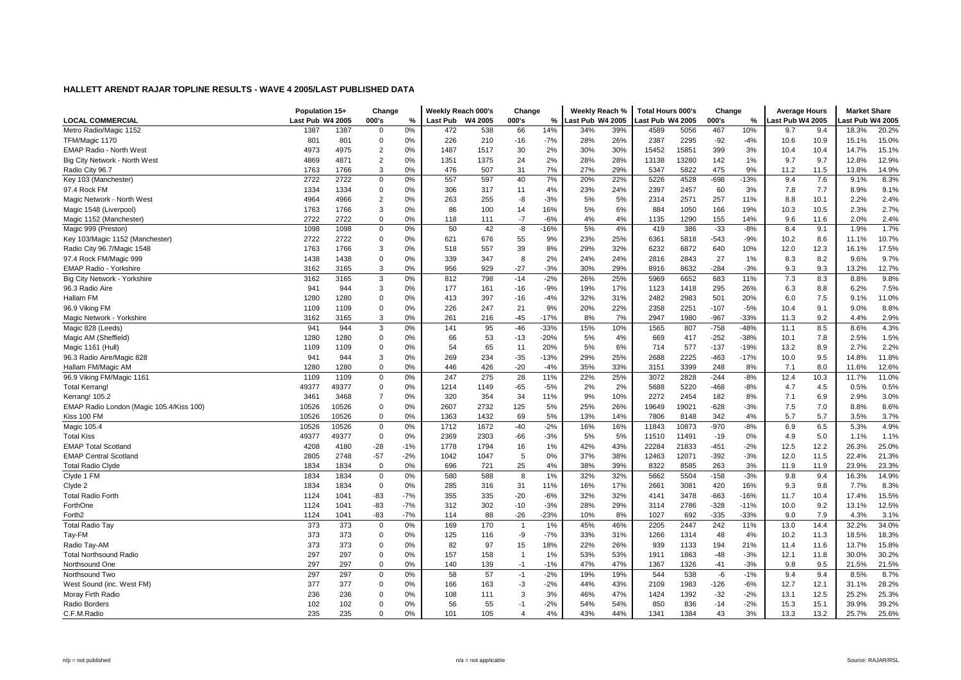|                                          | Population 15+   |       | Change         |       | Weekly Reach 000's |         | Change         |        | Weekly Reach %   |     | <b>Total Hours 000's</b> |       | Change |        | <b>Average Hours</b> |      | <b>Market Share</b> |       |
|------------------------------------------|------------------|-------|----------------|-------|--------------------|---------|----------------|--------|------------------|-----|--------------------------|-------|--------|--------|----------------------|------|---------------------|-------|
| <b>LOCAL COMMERCIAL</b>                  | Last Pub W4 2005 |       | 000's          | %     | Last Pub           | W4 2005 | 000's          | $\%$   | Last Pub W4 2005 |     | ast Pub W4 2005          |       | 000's  | %      | ast Pub W4 2005      |      | ast Pub W4 2005     |       |
| Metro Radio/Magic 1152                   | 1387             | 1387  | $\Omega$       | 0%    | 472                | 538     | 66             | 14%    | 34%              | 39% | 4589                     | 5056  | 467    | 10%    | 9.7                  | 9.4  | 18.3%               | 20.2% |
| TFM/Magic 1170                           | 801              | 801   | $\mathbf 0$    | 0%    | 226                | 210     | $-16$          | $-7%$  | 28%              | 26% | 2387                     | 2295  | $-92$  | $-4%$  | 10.6                 | 10.9 | 15.1%               | 15.0% |
| <b>EMAP Radio - North West</b>           | 4973             | 4975  | $\overline{2}$ | 0%    | 1487               | 1517    | 30             | 2%     | 30%              | 30% | 15452                    | 15851 | 399    | 3%     | 10.4                 | 10.4 | 14.7%               | 15.1% |
| Big City Network - North West            | 4869             | 4871  | $\overline{2}$ | 0%    | 1351               | 1375    | 24             | 2%     | 28%              | 28% | 13138                    | 13280 | 142    | 1%     | 9.7                  | 9.7  | 12.8%               | 12.9% |
| Radio City 96.7                          | 1763             | 1766  | 3              | 0%    | 476                | 507     | 31             | 7%     | 27%              | 29% | 5347                     | 5822  | 475    | 9%     | 11.2                 | 11.5 | 13.8%               | 14.9% |
| Key 103 (Manchester)                     | 2722             | 2722  | $\mathbf 0$    | 0%    | 557                | 597     | 40             | 7%     | 20%              | 22% | 5226                     | 4528  | $-698$ | $-13%$ | 9.4                  | 7.6  | 9.1%                | 8.3%  |
| 97.4 Rock FM                             | 1334             | 1334  | $\mathbf 0$    | 0%    | 306                | 317     | 11             | 4%     | 23%              | 24% | 2397                     | 2457  | 60     | 3%     | 7.8                  | 7.7  | 8.9%                | 9.1%  |
| Magic Network - North West               | 4964             | 4966  | $\overline{2}$ | 0%    | 263                | 255     | -8             | $-3%$  | 5%               | 5%  | 2314                     | 2571  | 257    | 11%    | 8.8                  | 10.1 | 2.2%                | 2.4%  |
| Magic 1548 (Liverpool)                   | 1763             | 1766  | 3              | 0%    | 86                 | 100     | 14             | 16%    | 5%               | 6%  | 884                      | 1050  | 166    | 19%    | 10.3                 | 10.5 | 2.3%                | 2.7%  |
| Magic 1152 (Manchester)                  | 2722             | 2722  | $\Omega$       | 0%    | 118                | 111     | $-7$           | $-6%$  | 4%               | 4%  | 1135                     | 1290  | 155    | 14%    | 9.6                  | 11.6 | 2.0%                | 2.4%  |
| Magic 999 (Preston)                      | 1098             | 1098  | 0              | 0%    | 50                 | 42      | -8             | -16%   | 5%               | 4%  | 419                      | 386   | $-33$  | $-8%$  | 8.4                  | 9.1  | 1.9%                | 1.7%  |
| Key 103/Magic 1152 (Manchester)          | 2722             | 2722  | $\mathbf 0$    | 0%    | 621                | 676     | 55             | 9%     | 23%              | 25% | 6361                     | 5818  | $-543$ | $-9%$  | 10.2                 | 8.6  | 11.1%               | 10.7% |
| Radio City 96.7/Magic 1548               | 1763             | 1766  | 3              | 0%    | 518                | 557     | 39             | 8%     | 29%              | 32% | 6232                     | 6872  | 640    | 10%    | 12.0                 | 12.3 | 16.1%               | 17.5% |
| 97.4 Rock FM/Magic 999                   | 1438             | 1438  | $\mathbf 0$    | 0%    | 339                | 347     | 8              | 2%     | 24%              | 24% | 2816                     | 2843  | 27     | 1%     | 8.3                  | 8.2  | 9.6%                | 9.7%  |
| EMAP Radio - Yorkshire                   | 3162             | 3165  | 3              | 0%    | 956                | 929     | $-27$          | $-3%$  | 30%              | 29% | 8916                     | 8632  | $-284$ | $-3%$  | 9.3                  | 9.3  | 13.2%               | 12.7% |
| Big City Network - Yorkshire             | 3162             | 3165  | 3              | 0%    | 812                | 798     | $-14$          | $-2%$  | 26%              | 25% | 5969                     | 6652  | 683    | 11%    | 7.3                  | 8.3  | 8.8%                | 9.8%  |
| 96.3 Radio Aire                          | 941              | 944   | 3              | 0%    | 177                | 161     | $-16$          | $-9%$  | 19%              | 17% | 1123                     | 1418  | 295    | 26%    | 6.3                  | 8.8  | 6.2%                | 7.5%  |
| Hallam FM                                | 1280             | 1280  | $\mathbf 0$    | 0%    | 413                | 397     | $-16$          | $-4%$  | 32%              | 31% | 2482                     | 2983  | 501    | 20%    | 6.0                  | 7.5  | 9.1%                | 11.0% |
| 96.9 Viking FM                           | 1109             | 1109  | $\mathbf 0$    | 0%    | 226                | 247     | 21             | 9%     | 20%              | 22% | 2358                     | 2251  | $-107$ | $-5%$  | 10.4                 | 9.1  | 9.0%                | 8.8%  |
| Magic Network - Yorkshire                | 3162             | 3165  | 3              | 0%    | 261                | 216     | $-45$          | $-17%$ | 8%               | 7%  | 2947                     | 1980  | $-967$ | $-33%$ | 11.3                 | 9.2  | 4.4%                | 2.9%  |
| Magic 828 (Leeds)                        | 941              | 944   | 3              | 0%    | 141                | 95      | $-46$          | $-33%$ | 15%              | 10% | 1565                     | 807   | $-758$ | $-48%$ | 11.1                 | 8.5  | 8.6%                | 4.3%  |
| Magic AM (Sheffield)                     | 1280             | 1280  | $\mathbf 0$    | 0%    | 66                 | 53      | $-13$          | $-20%$ | 5%               | 4%  | 669                      | 417   | $-252$ | $-38%$ | 10.1                 | 7.8  | 2.5%                | 1.5%  |
| Magic 1161 (Hull)                        | 1109             | 1109  | $\mathbf 0$    | 0%    | 54                 | 65      | 11             | 20%    | 5%               | 6%  | 714                      | 577   | $-137$ | $-19%$ | 13.2                 | 8.9  | 2.7%                | 2.2%  |
| 96.3 Radio Aire/Magic 828                | 941              | 944   | 3              | 0%    | 269                | 234     | $-35$          | $-13%$ | 29%              | 25% | 2688                     | 2225  | $-463$ | $-17%$ | 10.0                 | 9.5  | 14.8%               | 11.8% |
| Hallam FM/Magic AM                       | 1280             | 1280  | $\Omega$       | 0%    | 446                | 426     | $-20$          | $-4%$  | 35%              | 33% | 3151                     | 3399  | 248    | 8%     | 7.1                  | 8.0  | 11.6%               | 12.6% |
| 96.9 Viking FM/Magic 1161                | 1109             | 1109  | $\mathbf 0$    | 0%    | 247                | 275     | 28             | 11%    | 22%              | 25% | 3072                     | 2828  | $-244$ | $-8%$  | 12.4                 | 10.3 | 11.7%               | 11.0% |
| <b>Total Kerrang!</b>                    | 49377            | 49377 | $\mathbf 0$    | 0%    | 1214               | 1149    | $-65$          | $-5%$  | 2%               | 2%  | 5688                     | 5220  | $-468$ | $-8%$  | 4.7                  | 4.5  | 0.5%                | 0.5%  |
| Kerrang! 105.2                           | 3461             | 3468  | $\overline{7}$ | 0%    | 320                | 354     | 34             | 11%    | 9%               | 10% | 2272                     | 2454  | 182    | 8%     | 7.1                  | 6.9  | 2.9%                | 3.0%  |
| EMAP Radio London (Magic 105.4/Kiss 100) | 10526            | 10526 | $\Omega$       | 0%    | 2607               | 2732    | 125            | 5%     | 25%              | 26% | 19649                    | 19021 | $-628$ | $-3%$  | 7.5                  | 7.0  | 8.8%                | 8.6%  |
| Kiss 100 FM                              | 10526            | 10526 | $\mathbf 0$    | 0%    | 1363               | 1432    | 69             | 5%     | 13%              | 14% | 7806                     | 8148  | 342    | 4%     | 5.7                  | 5.7  | 3.5%                | 3.7%  |
| Magic 105.4                              | 10526            | 10526 | $\mathbf 0$    | 0%    | 1712               | 1672    | $-40$          | $-2%$  | 16%              | 16% | 11843                    | 10873 | $-970$ | $-8%$  | 6.9                  | 6.5  | 5.3%                | 4.9%  |
| <b>Total Kiss</b>                        | 49377            | 49377 | $\mathbf 0$    | 0%    | 2369               | 2303    | $-66$          | $-3%$  | 5%               | 5%  | 11510                    | 11491 | $-19$  | 0%     | 4.9                  | 5.0  | 1.1%                | 1.1%  |
| <b>EMAP Total Scotland</b>               | 4208             | 4180  | $-28$          | $-1%$ | 1778               | 1794    | 16             | 1%     | 42%              | 43% | 22284                    | 21833 | $-451$ | $-2%$  | 12.5                 | 12.2 | 26.3%               | 25.0% |
| <b>EMAP Central Scotland</b>             | 2805             | 2748  | $-57$          | $-2%$ | 1042               | 1047    | 5              | 0%     | 37%              | 38% | 12463                    | 12071 | $-392$ | $-3%$  | 12.0                 | 11.5 | 22.4%               | 21.3% |
| <b>Total Radio Clyde</b>                 | 1834             | 1834  | $\Omega$       | 0%    | 696                | 721     | 25             | 4%     | 38%              | 39% | 8322                     | 8585  | 263    | 3%     | 11.9                 | 11.9 | 23.9%               | 23.3% |
| Clyde 1 FM                               | 1834             | 1834  | $\mathbf 0$    | 0%    | 580                | 588     | 8              | 1%     | 32%              | 32% | 5662                     | 5504  | $-158$ | $-3%$  | 9.8                  | 9.4  | 16.3%               | 14.9% |
| Clyde 2                                  | 1834             | 1834  | $\mathbf 0$    | 0%    | 285                | 316     | 31             | 11%    | 16%              | 17% | 2661                     | 3081  | 420    | 16%    | 9.3                  | 9.8  | 7.7%                | 8.3%  |
| <b>Total Radio Forth</b>                 | 1124             | 1041  | -83            | $-7%$ | 355                | 335     | $-20$          | $-6%$  | 32%              | 32% | 4141                     | 3478  | $-663$ | $-16%$ | 11.7                 | 10.4 | 17.4%               | 15.5% |
| ForthOne                                 | 1124             | 1041  | -83            | $-7%$ | 312                | 302     | $-10$          | $-3%$  | 28%              | 29% | 3114                     | 2786  | $-328$ | $-11%$ | 10.0                 | 9.2  | 13.1%               | 12.5% |
| Forth <sub>2</sub>                       | 1124             | 1041  | $-83$          | $-7%$ | 114                | 88      | $-26$          | $-23%$ | 10%              | 8%  | 1027                     | 692   | $-335$ | $-33%$ | 9.0                  | 7.9  | 4.3%                | 3.1%  |
| Total Radio Tay                          | 373              | 373   | $\mathbf 0$    | 0%    | 169                | 170     | $\overline{1}$ | 1%     | 45%              | 46% | 2205                     | 2447  | 242    | 11%    | 13.0                 | 14.4 | 32.2%               | 34.0% |
| Tay-FM                                   | 373              | 373   | $\mathbf 0$    | 0%    | 125                | 116     | -9             | $-7%$  | 33%              | 31% | 1266                     | 1314  | 48     | 4%     | 10.2                 | 11.3 | 18.5%               | 18.3% |
| Radio Tay-AM                             | 373              | 373   | $\Omega$       | 0%    | 82                 | 97      | 15             | 18%    | 22%              | 26% | 939                      | 1133  | 194    | 21%    | 11.4                 | 11.6 | 13.7%               | 15.8% |
| <b>Total Northsound Radio</b>            | 297              | 297   | $\mathbf 0$    | 0%    | 157                | 158     | $\overline{1}$ | 1%     | 53%              | 53% | 1911                     | 1863  | $-48$  | $-3%$  | 12.1                 | 11.8 | 30.0%               | 30.2% |
| Northsound One                           | 297              | 297   | $\Omega$       | 0%    | 140                | 139     | $-1$           | $-1%$  | 47%              | 47% | 1367                     | 1326  | $-41$  | $-3%$  | 9.8                  | 9.5  | 21.5%               | 21.5% |
| Northsound Two                           | 297              | 297   | 0              | 0%    | 58                 | 57      | $-1$           | $-2%$  | 19%              | 19% | 544                      | 538   | -6     | $-1%$  | 9.4                  | 9.4  | 8.5%                | 8.7%  |
| West Sound (inc. West FM)                | 377              | 377   | $\mathbf 0$    | 0%    | 166                | 163     | -3             | $-2%$  | 44%              | 43% | 2109                     | 1983  | $-126$ | $-6%$  | 12.7                 | 12.1 | 31.1%               | 28.2% |
| Moray Firth Radio                        | 236              | 236   | $\mathbf 0$    | 0%    | 108                | 111     | 3              | 3%     | 46%              | 47% | 1424                     | 1392  | $-32$  | $-2%$  | 13.1                 | 12.5 | 25.2%               | 25.3% |
| Radio Borders                            | 102              | 102   | $\mathbf 0$    | 0%    | 56                 | 55      | $-1$           | $-2%$  | 54%              | 54% | 850                      | 836   | $-14$  | $-2%$  | 15.3                 | 15.1 | 39.9%               | 39.2% |
| C.F.M.Radio                              | 235              | 235   | $\Omega$       | 0%    | 101                | 105     | $\overline{4}$ | 4%     | 43%              | 44% | 1341                     | 1384  | 43     | 3%     | 13.3                 | 13.2 | 25.7%               | 25.6% |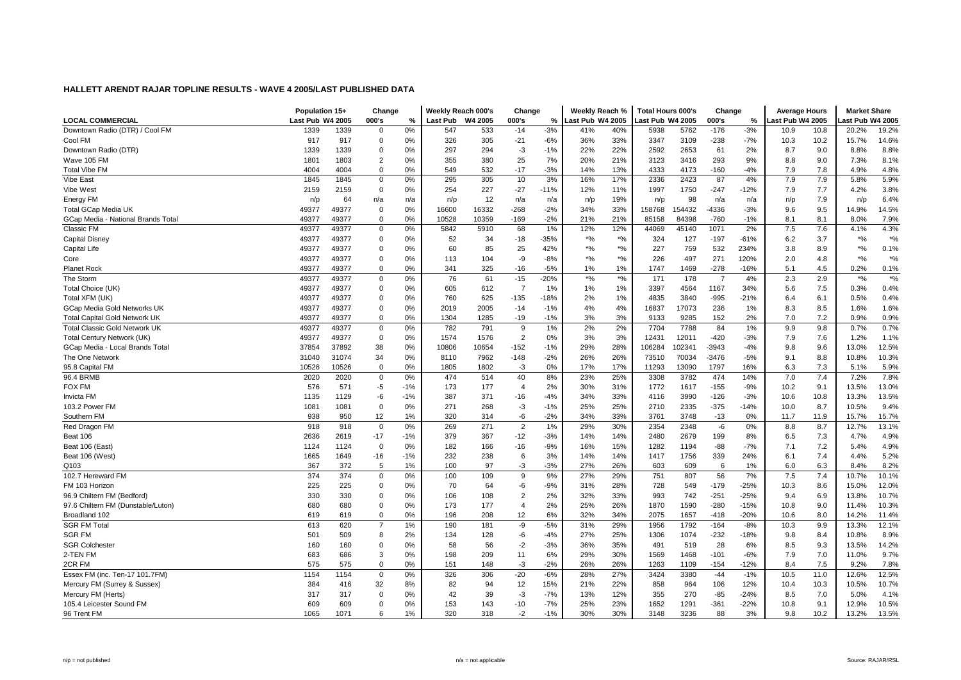|                                      | Population 15+   |       | Change         |       | Weekly Reach 000's |         | Change         |        | Weekly Reach %   |               | <b>Total Hours 000's</b> |        | Change         |        | <b>Average Hours</b> |      | <b>Market Share</b> |                    |
|--------------------------------------|------------------|-------|----------------|-------|--------------------|---------|----------------|--------|------------------|---------------|--------------------------|--------|----------------|--------|----------------------|------|---------------------|--------------------|
| LOCAL COMMERCIAL                     | Last Pub W4 2005 |       | 000's          | ℅     | Last Pub           | W4 2005 | 000's          | %      | Last Pub W4 2005 |               | Last Pub W4 2005         |        | 000's          | %      | ast Pub W4 2005      |      | ast Pub W4 2005     |                    |
| Downtown Radio (DTR) / Cool FM       | 1339             | 1339  | $\mathbf 0$    | 0%    | 547                | 533     | $-14$          | $-3%$  | 41%              | 40%           | 5938                     | 5762   | $-176$         | $-3%$  | 10.9                 | 10.8 | 20.2%               | 19.2%              |
| Cool FM                              | 917              | 917   | $\mathbf 0$    | 0%    | 326                | 305     | $-21$          | $-6%$  | 36%              | 33%           | 3347                     | 3109   | $-238$         | $-7%$  | 10.3                 | 10.2 | 15.7%               | 14.6%              |
| Downtown Radio (DTR)                 | 1339             | 1339  | 0              | 0%    | 297                | 294     | -3             | $-1%$  | 22%              | 22%           | 2592                     | 2653   | 61             | 2%     | 8.7                  | 9.0  | 8.8%                | 8.8%               |
| Wave 105 FM                          | 1801             | 1803  | $\overline{2}$ | 0%    | 355                | 380     | 25             | 7%     | 20%              | 21%           | 3123                     | 3416   | 293            | 9%     | 8.8                  | 9.0  | 7.3%                | 8.1%               |
| <b>Total Vibe FM</b>                 | 4004             | 4004  | 0              | 0%    | 549                | 532     | $-17$          | $-3%$  | 14%              | 13%           | 4333                     | 4173   | $-160$         | $-4%$  | 7.9                  | 7.8  | 4.9%                | 4.8%               |
| Vibe East                            | 1845             | 1845  | 0              | 0%    | 295                | 305     | 10             | 3%     | 16%              | 17%           | 2336                     | 2423   | 87             | 4%     | 7.9                  | 7.9  | 5.8%                | 5.9%               |
| Vibe West                            | 2159             | 2159  | 0              | 0%    | 254                | 227     | $-27$          | $-11%$ | 12%              | 11%           | 1997                     | 1750   | $-247$         | $-12%$ | 7.9                  | 7.7  | 4.2%                | 3.8%               |
| Energy FM                            | n/p              | 64    | n/a            | n/a   | n/p                | 12      | n/a            | n/a    | n/p              | 19%           | n/p                      | 98     | n/a            | n/a    | n/p                  | 7.9  | n/p                 | 6.4%               |
| <b>Total GCap Media UK</b>           | 49377            | 49377 | 0              | 0%    | 16600              | 16332   | $-268$         | $-2%$  | 34%              | 33%           | 158768                   | 154432 | -4336          | $-3%$  | 9.6                  | 9.5  | 14.9%               | 14.5%              |
| GCap Media - National Brands Total   | 49377            | 49377 | 0              | 0%    | 10528              | 10359   | $-169$         | $-2%$  | 21%              | 21%           | 85158                    | 84398  | $-760$         | $-1%$  | 8.1                  | 8.1  | 8.0%                | 7.9%               |
| Classic FM                           | 49377            | 49377 | 0              | 0%    | 5842               | 5910    | 68             | 1%     | 12%              | 12%           | 44069                    | 45140  | 1071           | 2%     | 7.5                  | 7.6  | 4.1%                | 4.3%               |
| <b>Capital Disney</b>                | 49377            | 49377 | 0              | 0%    | 52                 | 34      | $-18$          | $-35%$ | $*9/6$           | $*$ %         | 324                      | 127    | $-197$         | $-61%$ | 6.2                  | 3.7  | $*9/6$              | $*$ %              |
| Capital Life                         | 49377            | 49377 | 0              | 0%    | 60                 | 85      | 25             | 42%    | $^{\ast}$ %      | $*$ %         | 227                      | 759    | 532            | 234%   | 3.8                  | 8.9  | $*$ %               | 0.1%               |
| Core                                 | 49377            | 49377 | 0              | 0%    | 113                | 104     | -9             | $-8%$  | $^{\ast}$ %      | $*$ %         | 226                      | 497    | 271            | 120%   | 2.0                  | 4.8  | $*9/6$              | $*$ %              |
| <b>Planet Rock</b>                   | 49377            | 49377 | $\mathbf 0$    | 0%    | 341                | 325     | $-16$          | $-5%$  | 1%               | 1%            | 1747                     | 1469   | $-278$         | $-16%$ | 5.1                  | 4.5  | 0.2%                | 0.1%               |
| The Storm                            | 49377            | 49377 | 0              | 0%    | 76                 | 61      | $-15$          | $-20%$ | $*$ %            | $\frac{1}{2}$ | 171                      | 178    | $\overline{7}$ | 4%     | 2.3                  | 2.9  | $\boldsymbol{*}$ %  | $\boldsymbol{*}$ % |
| Total Choice (UK)                    | 49377            | 49377 | 0              | 0%    | 605                | 612     | $\overline{7}$ | 1%     | 1%               | 1%            | 3397                     | 4564   | 1167           | 34%    | 5.6                  | 7.5  | 0.3%                | 0.4%               |
| Total XFM (UK)                       | 49377            | 49377 | 0              | 0%    | 760                | 625     | $-135$         | $-18%$ | 2%               | 1%            | 4835                     | 3840   | $-995$         | $-21%$ | 6.4                  | 6.1  | 0.5%                | 0.4%               |
| GCap Media Gold Networks UK          | 49377            | 49377 | 0              | 0%    | 2019               | 2005    | $-14$          | $-1%$  | 4%               | 4%            | 16837                    | 17073  | 236            | 1%     | 8.3                  | 8.5  | 1.6%                | 1.6%               |
| <b>Total Capital Gold Network UK</b> | 49377            | 49377 | $\mathbf 0$    | 0%    | 1304               | 1285    | $-19$          | $-1%$  | 3%               | 3%            | 9133                     | 9285   | 152            | 2%     | 7.0                  | 7.2  | 0.9%                | 0.9%               |
| <b>Total Classic Gold Network UK</b> | 49377            | 49377 | $\mathbf 0$    | 0%    | 782                | 791     | 9              | 1%     | 2%               | 2%            | 7704                     | 7788   | 84             | 1%     | 9.9                  | 9.8  | 0.7%                | 0.7%               |
| Total Century Network (UK)           | 49377            | 49377 | 0              | 0%    | 1574               | 1576    | $\overline{c}$ | 0%     | 3%               | 3%            | 12431                    | 12011  | $-420$         | -3%    | 7.9                  | 7.6  | 1.2%                | 1.1%               |
| GCap Media - Local Brands Total      | 37854            | 37892 | 38             | 0%    | 10806              | 10654   | $-152$         | $-1%$  | 29%              | 28%           | 106284                   | 102341 | -3943          | $-4%$  | 9.8                  | 9.6  | 13.0%               | 12.5%              |
| The One Network                      | 31040            | 31074 | 34             | 0%    | 8110               | 7962    | $-148$         | $-2%$  | 26%              | 26%           | 73510                    | 70034  | $-3476$        | $-5%$  | 9.1                  | 8.8  | 10.8%               | 10.3%              |
| 95.8 Capital FM                      | 10526            | 10526 | $\mathbf 0$    | 0%    | 1805               | 1802    | -3             | 0%     | 17%              | 17%           | 11293                    | 13090  | 1797           | 16%    | 6.3                  | 7.3  | 5.1%                | 5.9%               |
| 96.4 BRMB                            | 2020             | 2020  | 0              | 0%    | 474                | 514     | 40             | 8%     | 23%              | 25%           | 3308                     | 3782   | 474            | 14%    | 7.0                  | 7.4  | 7.2%                | 7.8%               |
| FOX FM                               | 576              | 571   | $-5$           | $-1%$ | 173                | 177     | $\overline{4}$ | 2%     | 30%              | 31%           | 1772                     | 1617   | $-155$         | $-9%$  | 10.2                 | 9.1  | 13.5%               | 13.0%              |
| Invicta FM                           | 1135             | 1129  | -6             | $-1%$ | 387                | 371     | $-16$          | $-4%$  | 34%              | 33%           | 4116                     | 3990   | $-126$         | $-3%$  | 10.6                 | 10.8 | 13.3%               | 13.5%              |
| 103.2 Power FM                       | 1081             | 1081  | 0              | 0%    | 271                | 268     | -3             | $-1%$  | 25%              | 25%           | 2710                     | 2335   | $-375$         | $-14%$ | 10.0                 | 8.7  | 10.5%               | 9.4%               |
| Southern FM                          | 938              | 950   | 12             | 1%    | 320                | 314     | -6             | $-2%$  | 34%              | 33%           | 3761                     | 3748   | $-13$          | 0%     | 11.7                 | 11.9 | 15.7%               | 15.7%              |
| Red Dragon FM                        | 918              | 918   | $\mathbf 0$    | 0%    | 269                | 271     | $\overline{2}$ | 1%     | 29%              | 30%           | 2354                     | 2348   | -6             | 0%     | 8.8                  | 8.7  | 12.7%               | 13.1%              |
| Beat 106                             | 2636             | 2619  | $-17$          | $-1%$ | 379                | 367     | $-12$          | $-3%$  | 14%              | 14%           | 2480                     | 2679   | 199            | 8%     | 6.5                  | 7.3  | 4.7%                | 4.9%               |
| Beat 106 (East)                      | 1124             | 1124  | $\mathbf 0$    | 0%    | 182                | 166     | $-16$          | $-9%$  | 16%              | 15%           | 1282                     | 1194   | $-88$          | $-7%$  | 7.1                  | 7.2  | 5.4%                | 4.9%               |
| Beat 106 (West)                      | 1665             | 1649  | -16            | $-1%$ | 232                | 238     | 6              | 3%     | 14%              | 14%           | 1417                     | 1756   | 339            | 24%    | 6.1                  | 7.4  | 4.4%                | 5.2%               |
| Q103                                 | 367              | 372   | 5              | 1%    | 100                | 97      | -3             | $-3%$  | 27%              | 26%           | 603                      | 609    | 6              | 1%     | 6.0                  | 6.3  | 8.4%                | 8.2%               |
| 102.7 Hereward FM                    | 374              | 374   | $\mathbf 0$    | 0%    | 100                | 109     | 9              | 9%     | 27%              | 29%           | 751                      | 807    | 56             | 7%     | 7.5                  | 7.4  | 10.7%               | 10.1%              |
| FM 103 Horizon                       | 225              | 225   | $\mathbf 0$    | 0%    | 70                 | 64      | -6             | $-9%$  | 31%              | 28%           | 728                      | 549    | $-179$         | $-25%$ | 10.3                 | 8.6  | 15.0%               | 12.0%              |
| 96.9 Chiltern FM (Bedford)           | 330              | 330   | 0              | 0%    | 106                | 108     | $\overline{2}$ | 2%     | 32%              | 33%           | 993                      | 742    | $-251$         | $-25%$ | 9.4                  | 6.9  | 13.8%               | 10.7%              |
| 97.6 Chiltern FM (Dunstable/Luton)   | 680              | 680   | $\mathbf 0$    | 0%    | 173                | 177     | $\overline{4}$ | 2%     | 25%              | 26%           | 1870                     | 1590   | $-280$         | $-15%$ | 10.8                 | 9.0  | 11.4%               | 10.3%              |
| Broadland 102                        | 619              | 619   | 0              | 0%    | 196                | 208     | 12             | 6%     | 32%              | 34%           | 2075                     | 1657   | $-418$         | $-20%$ | 10.6                 | 8.0  | 14.2%               | 11.4%              |
| <b>SGR FM Total</b>                  | 613              | 620   | $\overline{7}$ | 1%    | 190                | 181     | -9             | $-5%$  | 31%              | 29%           | 1956                     | 1792   | $-164$         | $-8%$  | 10.3                 | 9.9  | 13.3%               | 12.1%              |
| <b>SGR FM</b>                        | 501              | 509   | 8              | 2%    | 134                | 128     | -6             | $-4%$  | 27%              | 25%           | 1306                     | 1074   | $-232$         | $-18%$ | 9.8                  | 8.4  | 10.8%               | 8.9%               |
| <b>SGR Colchester</b>                | 160              | 160   | 0              | 0%    | 58                 | 56      | $-2$           | $-3%$  | 36%              | 35%           | 491                      | 519    | 28             | 6%     | 8.5                  | 9.3  | 13.5%               | 14.2%              |
| 2-TEN FM                             | 683              | 686   | 3              | 0%    | 198                | 209     | 11             | 6%     | 29%              | 30%           | 1569                     | 1468   | $-101$         | $-6%$  | 7.9                  | 7.0  | 11.0%               | 9.7%               |
| 2CR FM                               | 575              | 575   | $\mathbf 0$    | 0%    | 151                | 148     | -3             | $-2%$  | 26%              | 26%           | 1263                     | 1109   | $-154$         | $-12%$ | 8.4                  | 7.5  | 9.2%                | 7.8%               |
| Essex FM (inc. Ten-17 101.7FM)       | 1154             | 1154  | 0              | 0%    | 326                | 306     | $-20$          | $-6%$  | 28%              | 27%           | 3424                     | 3380   | $-44$          | $-1%$  | 10.5                 | 11.0 | 12.6%               | 12.5%              |
| Mercury FM (Surrey & Sussex)         | 384              | 416   | 32             | 8%    | 82                 | 94      | 12             | 15%    | 21%              | 22%           | 858                      | 964    | 106            | 12%    | 10.4                 | 10.3 | 10.5%               | 10.7%              |
| Mercury FM (Herts)                   | 317              | 317   | 0              | 0%    | 42                 | 39      | -3             | $-7%$  | 13%              | 12%           | 355                      | 270    | $-85$          | $-24%$ | 8.5                  | 7.0  | 5.0%                | 4.1%               |
| 105.4 Leicester Sound FM             | 609              | 609   | 0              | 0%    | 153                | 143     | $-10$          | $-7%$  | 25%              | 23%           | 1652                     | 1291   | $-361$         | $-22%$ | 10.8                 | 9.1  | 12.9%               | 10.5%              |
| 96 Trent FM                          | 1065             | 1071  | 6              | 1%    | 320                | 318     | $-2$           | $-1%$  | 30%              | 30%           | 3148                     | 3236   | 88             | 3%     | 9.8                  | 10.2 | 13.2%               | 13.5%              |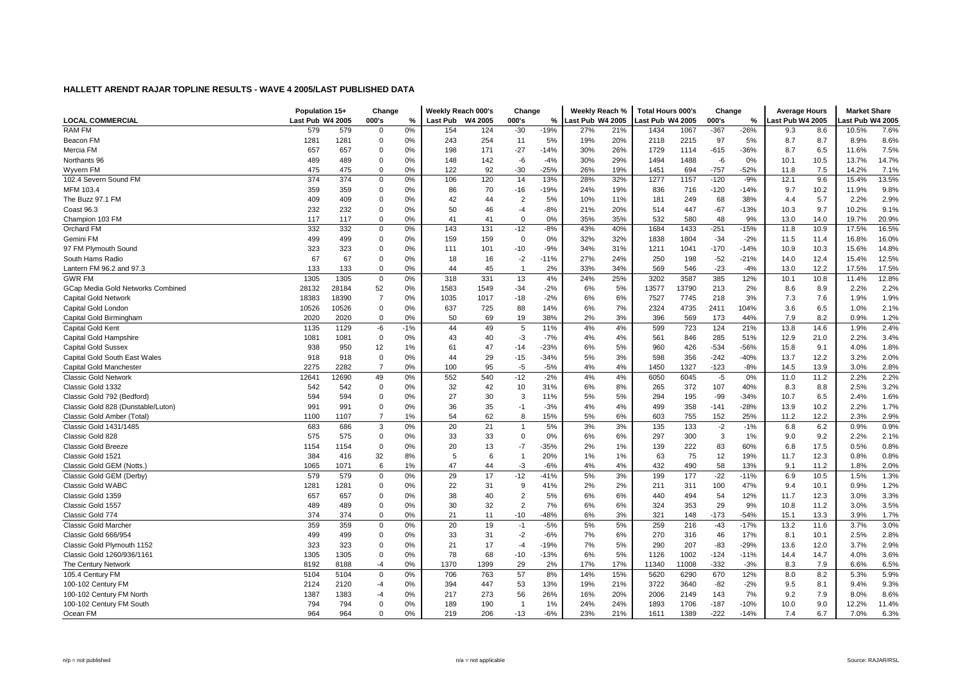|                                    | Population 15+   |       | Change         |       | Weekly Reach 000's |         | Change         |        | Weekly Reach %   |     | <b>Total Hours 000's</b> |       | Change |        | <b>Average Hours</b> |      | <b>Market Share</b> |       |
|------------------------------------|------------------|-------|----------------|-------|--------------------|---------|----------------|--------|------------------|-----|--------------------------|-------|--------|--------|----------------------|------|---------------------|-------|
| <b>LOCAL COMMERCIAL</b>            | Last Pub W4 2005 |       | 000's          | %     | Last Pub           | W4 2005 | 000's          | %      | Last Pub W4 2005 |     | ast Pub W4 2005          |       | 000's  | %      | ast Pub W4 2005.     |      | ast Pub W4 2005     |       |
| <b>RAM FM</b>                      | 579              | 579   | $\Omega$       | 0%    | 154                | 124     | $-30$          | $-19%$ | 27%              | 21% | 1434                     | 1067  | $-367$ | $-26%$ | 9.3                  | 8.6  | 10.5%               | 7.6%  |
| Beacon FM                          | 1281             | 1281  | $\mathbf 0$    | 0%    | 243                | 254     | 11             | 5%     | 19%              | 20% | 2118                     | 2215  | 97     | 5%     | 8.7                  | 8.7  | 8.9%                | 8.6%  |
| Mercia FM                          | 657              | 657   | $\mathbf 0$    | 0%    | 198                | 171     | $-27$          | $-14%$ | 30%              | 26% | 1729                     | 1114  | $-615$ | $-36%$ | 8.7                  | 6.5  | 11.6%               | 7.5%  |
| Northants 96                       | 489              | 489   | $\mathbf 0$    | 0%    | 148                | 142     | -6             | $-4%$  | 30%              | 29% | 1494                     | 1488  | -6     | 0%     | 10.1                 | 10.5 | 13.7%               | 14.7% |
| Wyvern FM                          | 475              | 475   | $\mathbf 0$    | 0%    | 122                | 92      | $-30$          | $-25%$ | 26%              | 19% | 1451                     | 694   | $-757$ | $-52%$ | 11.8                 | 7.5  | 14.2%               | 7.1%  |
| 102.4 Severn Sound FM              | 374              | 374   | $\mathbf 0$    | 0%    | 106                | 120     | 14             | 13%    | 28%              | 32% | 1277                     | 1157  | $-120$ | $-9%$  | 12.1                 | 9.6  | 15.4%               | 13.5% |
| MFM 103.4                          | 359              | 359   | $\mathbf 0$    | 0%    | 86                 | 70      | $-16$          | $-19%$ | 24%              | 19% | 836                      | 716   | $-120$ | -14%   | 9.7                  | 10.2 | 11.9%               | 9.8%  |
| The Buzz 97.1 FM                   | 409              | 409   | $\Omega$       | 0%    | 42                 | 44      | $\overline{2}$ | 5%     | 10%              | 11% | 181                      | 249   | 68     | 38%    | 4.4                  | 5.7  | 2.2%                | 2.9%  |
| Coast 96.3                         | 232              | 232   | $\mathbf 0$    | 0%    | 50                 | 46      | $-4$           | $-8%$  | 21%              | 20% | 514                      | 447   | $-67$  | $-13%$ | 10.3                 | 9.7  | 10.2%               | 9.1%  |
| Champion 103 FM                    | 117              | 117   | $\mathbf 0$    | 0%    | 41                 | 41      | $\mathbf 0$    | 0%     | 35%              | 35% | 532                      | 580   | 48     | 9%     | 13.0                 | 14.0 | 19.7%               | 20.9% |
| Orchard FM                         | 332              | 332   | $\mathbf 0$    | 0%    | 143                | 131     | $-12$          | $-8%$  | 43%              | 40% | 1684                     | 1433  | $-251$ | $-15%$ | 11.8                 | 10.9 | 17.5%               | 16.5% |
| Gemini FM                          | 499              | 499   | $\mathbf 0$    | 0%    | 159                | 159     | $\mathbf 0$    | 0%     | 32%              | 32% | 1838                     | 1804  | $-34$  | $-2%$  | 11.5                 | 11.4 | 16.8%               | 16.0% |
| 97 FM Plymouth Sound               | 323              | 323   | $\mathbf 0$    | 0%    | 111                | 101     | $-10$          | $-9%$  | 34%              | 31% | 1211                     | 1041  | $-170$ | $-14%$ | 10.9                 | 10.3 | 15.6%               | 14.8% |
| South Hams Radio                   | 67               | 67    | $\mathbf 0$    | 0%    | 18                 | 16      | $-2$           | $-11%$ | 27%              | 24% | 250                      | 198   | $-52$  | $-21%$ | 14.0                 | 12.4 | 15.4%               | 12.5% |
| Lantern FM 96.2 and 97.3           | 133              | 133   | $\Omega$       | 0%    | 44                 | 45      | $\overline{1}$ | 2%     | 33%              | 34% | 569                      | 546   | $-23$  | $-4%$  | 13.0                 | 12.2 | 17.5%               | 17.5% |
| <b>GWR FM</b>                      | 1305             | 1305  | $\mathbf 0$    | 0%    | 318                | 331     | 13             | 4%     | 24%              | 25% | 3202                     | 3587  | 385    | 12%    | 10.1                 | 10.8 | 11.4%               | 12.8% |
| GCap Media Gold Networks Combined  | 28132            | 28184 | 52             | 0%    | 1583               | 1549    | $-34$          | $-2%$  | 6%               | 5%  | 13577                    | 13790 | 213    | 2%     | 8.6                  | 8.9  | 2.2%                | 2.2%  |
| <b>Capital Gold Network</b>        | 18383            | 18390 | $\overline{7}$ | 0%    | 1035               | 1017    | $-18$          | $-2%$  | 6%               | 6%  | 7527                     | 7745  | 218    | 3%     | 7.3                  | 7.6  | 1.9%                | 1.9%  |
| Capital Gold London                | 10526            | 10526 | $\mathbf 0$    | 0%    | 637                | 725     | 88             | 14%    | 6%               | 7%  | 2324                     | 4735  | 2411   | 104%   | 3.6                  | 6.5  | 1.0%                | 2.1%  |
| Capital Gold Birmingham            | 2020             | 2020  | $\mathbf 0$    | 0%    | 50                 | 69      | 19             | 38%    | 2%               | 3%  | 396                      | 569   | 173    | 44%    | 7.9                  | 8.2  | 0.9%                | 1.2%  |
| Capital Gold Kent                  | 1135             | 1129  | -6             | $-1%$ | 44                 | 49      | 5              | 11%    | 4%               | 4%  | 599                      | 723   | 124    | 21%    | 13.8                 | 14.6 | 1.9%                | 2.4%  |
| Capital Gold Hampshire             | 1081             | 1081  | $\mathbf 0$    | 0%    | 43                 | 40      | $-3$           | $-7%$  | 4%               | 4%  | 561                      | 846   | 285    | 51%    | 12.9                 | 21.0 | 2.2%                | 3.4%  |
| <b>Capital Gold Sussex</b>         | 938              | 950   | 12             | 1%    | 61                 | 47      | $-14$          | $-23%$ | 6%               | 5%  | 960                      | 426   | $-534$ | $-56%$ | 15.8                 | 9.1  | 4.0%                | 1.8%  |
| Capital Gold South East Wales      | 918              | 918   | $\Omega$       | 0%    | 44                 | 29      | $-15$          | $-34%$ | 5%               | 3%  | 598                      | 356   | $-242$ | $-40%$ | 13.7                 | 12.2 | 3.2%                | 2.0%  |
| Capital Gold Manchester            | 2275             | 2282  | $\overline{7}$ | 0%    | 100                | 95      | $-5$           | $-5%$  | 4%               | 4%  | 1450                     | 1327  | $-123$ | $-8%$  | 14.5                 | 13.9 | 3.0%                | 2.8%  |
| <b>Classic Gold Network</b>        | 12641            | 2690  | 49             | 0%    | 552                | 540     | $-12$          | $-2%$  | 4%               | 4%  | 6050                     | 6045  | $-5$   | 0%     | 11.0                 | 11.2 | 2.2%                | 2.2%  |
| Classic Gold 1332                  | 542              | 542   | $\mathbf 0$    | 0%    | 32                 | 42      | 10             | 31%    | 6%               | 8%  | 265                      | 372   | 107    | 40%    | 8.3                  | 8.8  | 2.5%                | 3.2%  |
| Classic Gold 792 (Bedford)         | 594              | 594   | $\mathbf 0$    | 0%    | 27                 | 30      | 3              | 11%    | 5%               | 5%  | 294                      | 195   | -99    | $-34%$ | 10.7                 | 6.5  | 2.4%                | 1.6%  |
| Classic Gold 828 (Dunstable/Luton) | 991              | 991   | $\mathbf 0$    | 0%    | 36                 | 35      | $-1$           | $-3%$  | 4%               | 4%  | 499                      | 358   | $-141$ | $-28%$ | 13.9                 | 10.2 | 2.2%                | 1.7%  |
| Classic Gold Amber (Total)         | 1100             | 1107  | $\overline{7}$ | 1%    | 54                 | 62      | 8              | 15%    | 5%               | 6%  | 603                      | 755   | 152    | 25%    | 11.2                 | 12.2 | 2.3%                | 2.9%  |
| Classic Gold 1431/1485             | 683              | 686   | 3              | 0%    | 20                 | 21      | $\overline{1}$ | 5%     | 3%               | 3%  | 135                      | 133   | $-2$   | $-1%$  | 6.8                  | 6.2  | 0.9%                | 0.9%  |
| Classic Gold 828                   | 575              | 575   | $\mathbf 0$    | 0%    | 33                 | 33      | $\mathbf 0$    | 0%     | 6%               | 6%  | 297                      | 300   | 3      | 1%     | 9.0                  | 9.2  | 2.2%                | 2.1%  |
| <b>Classic Gold Breeze</b>         | 1154             | 1154  | $\mathbf 0$    | 0%    | 20                 | 13      | $-7$           | $-35%$ | 2%               | 1%  | 139                      | 222   | 83     | 60%    | 6.8                  | 17.5 | 0.5%                | 0.8%  |
| Classic Gold 1521                  | 384              | 416   | 32             | 8%    | 5                  | 6       | $\overline{1}$ | 20%    | 1%               | 1%  | 63                       | 75    | 12     | 19%    | 11.7                 | 12.3 | 0.8%                | 0.8%  |
| Classic Gold GEM (Notts.)          | 1065             | 1071  | 6              | 1%    | 47                 | 44      | $-3$           | $-6%$  | 4%               | 4%  | 432                      | 490   | 58     | 13%    | 9.1                  | 11.2 | 1.8%                | 2.0%  |
| Classic Gold GEM (Derby)           | 579              | 579   | $\mathbf 0$    | 0%    | 29                 | 17      | $-12$          | $-41%$ | 5%               | 3%  | 199                      | 177   | $-22$  | $-11%$ | 6.9                  | 10.5 | 1.5%                | 1.3%  |
| <b>Classic Gold WABC</b>           | 1281             | 1281  | $\Omega$       | 0%    | 22                 | 31      | 9              | 41%    | 2%               | 2%  | 211                      | 311   | 100    | 47%    | 9.4                  | 10.1 | 0.9%                | 1.2%  |
| Classic Gold 1359                  | 657              | 657   | $\mathbf 0$    | 0%    | 38                 | 40      | $\overline{2}$ | 5%     | 6%               | 6%  | 440                      | 494   | 54     | 12%    | 11.7                 | 12.3 | 3.0%                | 3.3%  |
| Classic Gold 1557                  | 489              | 489   | $\mathbf 0$    | 0%    | 30                 | 32      | $\overline{2}$ | 7%     | 6%               | 6%  | 324                      | 353   | 29     | 9%     | 10.8                 | 11.2 | 3.0%                | 3.5%  |
| Classic Gold 774                   | 374              | 374   | $\mathbf 0$    | 0%    | 21                 | 11      | $-10$          | $-48%$ | 6%               | 3%  | 321                      | 148   | $-173$ | $-54%$ | 15.1                 | 13.3 | 3.9%                | 1.7%  |
| <b>Classic Gold Marcher</b>        | 359              | 359   | $\mathbf 0$    | 0%    | 20                 | 19      | $-1$           | $-5%$  | 5%               | 5%  | 259                      | 216   | $-43$  | $-17%$ | 13.2                 | 11.6 | 3.7%                | 3.0%  |
| Classic Gold 666/954               | 499              | 499   | $\mathbf 0$    | 0%    | 33                 | 31      | $-2$           | $-6%$  | 7%               | 6%  | 270                      | 316   | 46     | 17%    | 8.1                  | 10.1 | 2.5%                | 2.8%  |
| Classic Gold Plymouth 1152         | 323              | 323   | $\mathbf 0$    | 0%    | 21                 | 17      | $-4$           | $-19%$ | 7%               | 5%  | 290                      | 207   | $-83$  | $-29%$ | 13.6                 | 12.0 | 3.7%                | 2.9%  |
| Classic Gold 1260/936/1161         | 1305             | 1305  | $\mathbf 0$    | 0%    | 78                 | 68      | $-10$          | $-13%$ | 6%               | 5%  | 1126                     | 1002  | $-124$ | $-11%$ | 14.4                 | 14.7 | 4.0%                | 3.6%  |
| The Century Network                | 8192             | 8188  | -4             | 0%    | 1370               | 1399    | 29             | 2%     | 17%              | 17% | 11340                    | 11008 | $-332$ | $-3%$  | 8.3                  | 7.9  | 6.6%                | 6.5%  |
| 105.4 Century FM                   | 5104             | 5104  | $\mathbf 0$    | 0%    | 706                | 763     | 57             | 8%     | 14%              | 15% | 5620                     | 6290  | 670    | 12%    | 8.0                  | 8.2  | 5.3%                | 5.9%  |
| 100-102 Century FM                 | 2124             | 2120  | -4             | 0%    | 394                | 447     | 53             | 13%    | 19%              | 21% | 3722                     | 3640  | $-82$  | $-2%$  | 9.5                  | 8.1  | 9.4%                | 9.3%  |
| 100-102 Century FM North           | 1387             | 1383  | -4             | 0%    | 217                | 273     | 56             | 26%    | 16%              | 20% | 2006                     | 2149  | 143    | 7%     | 9.2                  | 7.9  | 8.0%                | 8.6%  |
| 100-102 Century FM South           | 794              | 794   | $\mathbf 0$    | 0%    | 189                | 190     | $\overline{1}$ | 1%     | 24%              | 24% | 1893                     | 1706  | $-187$ | $-10%$ | 10.0                 | 9.0  | 12.2%               | 11.4% |
| Ocean FM                           | 964              | 964   | $\Omega$       | 0%    | 219                | 206     | $-13$          | $-6%$  | 23%              | 21% | 1611                     | 1389  | $-222$ | $-14%$ | 7.4                  | 6.7  | 7.0%                | 6.3%  |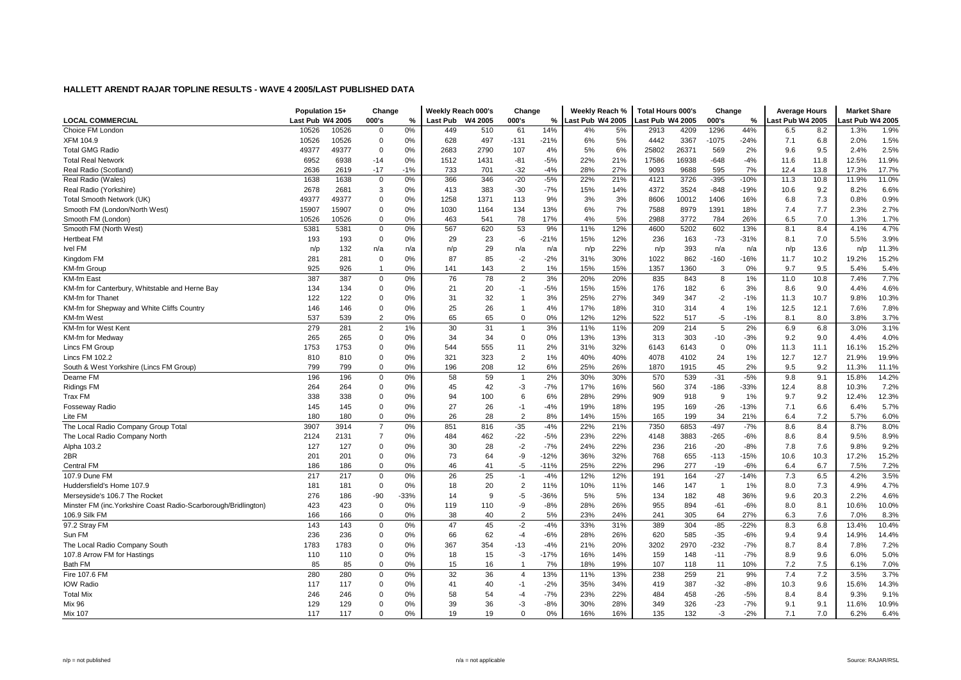|                                                                 | Population 15+   |            | Change         |        | Weekly Reach 000's |          | Change         |                 | Weekly Reach %   |            | <b>Total Hours 000's</b> |             | Change         |                 | <b>Average Hours</b> |            | <b>Market Share</b> |              |
|-----------------------------------------------------------------|------------------|------------|----------------|--------|--------------------|----------|----------------|-----------------|------------------|------------|--------------------------|-------------|----------------|-----------------|----------------------|------------|---------------------|--------------|
| <b>LOCAL COMMERCIAL</b>                                         | Last Pub W4 2005 |            | 000's          | %      | <b>Last Pub</b>    | W4 2005  | 000's          | %               | Last Pub W4 2005 |            | ast Pub W4 2005          |             | 000's          | %               | ast Pub W4 2005      |            | ast Pub W4 2005     |              |
| Choice FM London                                                | 10526            | 10526      | 0              | 0%     | 449                | 510      | 61             | 14%             | 4%               | 5%         | 2913                     | 4209        | 1296           | 44%             | 6.5                  | 8.2        | 1.3%                | 1.9%         |
| XFM 104.9                                                       | 10526            | 10526      | 0              | 0%     | 628                | 497      | $-131$         | $-21%$          | 6%               | 5%         | 4442                     | 3367        | $-1075$        | $-24%$          | 7.1                  | 6.8        | 2.0%                | 1.5%         |
| <b>Total GMG Radio</b>                                          | 49377            | 49377      | 0              | 0%     | 2683               | 2790     | 107            | 4%              | 5%               | 6%         | 25802                    | 26371       | 569            | 2%              | 9.6                  | 9.5        | 2.4%                | 2.5%         |
| <b>Total Real Network</b>                                       | 6952             | 6938       | $-14$          | 0%     | 1512               | 1431     | $-81$          | $-5%$           | 22%              | 21%        | 17586                    | 16938       | $-648$         | $-4%$           | 11.6                 | 11.8       | 12.5%               | 11.9%        |
| Real Radio (Scotland)                                           | 2636             | 2619       | $-17$          | $-1%$  | 733                | 701      | $-32$          | $-4%$           | 28%              | 27%        | 9093                     | 9688        | 595            | 7%              | 12.4                 | 13.8       | 17.3%               | 17.7%        |
| Real Radio (Wales)                                              | 1638             | 1638       | $\mathbf 0$    | 0%     | 366                | 346      | $-20$          | $-5%$           | 22%              | 21%        | 4121                     | 3726        | $-395$         | $-10%$          | 11.3                 | 10.8       | 11.9%               | 11.0%        |
| Real Radio (Yorkshire)                                          | 2678             | 2681       | 3              | 0%     | 413                | 383      | $-30$          | $-7%$           | 15%              | 14%        | 4372                     | 3524        | $-848$         | $-19%$          | 10.6                 | 9.2        | 8.2%                | 6.6%         |
| Total Smooth Network (UK)                                       | 49377            | 49377      | 0              | 0%     | 1258               | 1371     | 113            | 9%              | 3%               | 3%         | 8606                     | 10012       | 1406           | 16%             | 6.8                  | 7.3        | 0.8%                | 0.9%         |
| Smooth FM (London/North West)                                   | 15907            | 15907      | $\mathbf 0$    | 0%     | 1030               | 1164     | 134            | 13%             | 6%               | 7%         | 7588                     | 8979        | 1391           | 18%             | 7.4                  | 7.7        | 2.3%                | 2.7%         |
| Smooth FM (London)                                              | 10526            | 10526      | 0              | 0%     | 463                | 541      | 78             | 17%             | 4%               | 5%         | 2988                     | 3772        | 784            | 26%             | 6.5                  | 7.0        | 1.3%                | 1.7%         |
| Smooth FM (North West)                                          | 5381             | 5381       | $\mathbf 0$    | 0%     | 567                | 620      | 53             | 9%              | 11%              | 12%        | 4600                     | 5202        | 602            | 13%             | 8.1                  | 8.4        | 4.1%                | 4.7%         |
| <b>Hertbeat FM</b>                                              | 193              | 193        | 0              | 0%     | 29                 | 23       | -6             | $-21%$          | 15%              | 12%        | 236                      | 163         | $-73$          | $-31%$          | 8.1                  | 7.0        | 5.5%                | 3.9%         |
| Ivel FM                                                         | n/p              | 132        | n/a            | n/a    | n/p                | 29       | n/a            | n/a             | n/p              | 22%        | n/p                      | 393         | n/a            | n/a             | n/p                  | 13.6       | n/p                 | 11.3%        |
| Kingdom FM                                                      | 281              | 281        | 0              | 0%     | 87                 | 85       | $-2$           | $-2%$           | 31%              | 30%        | 1022                     | 862         | $-160$         | $-16%$          | 11.7                 | 10.2       | 19.2%               | 15.2%        |
| <b>KM-fm Group</b>                                              | 925              | 926        | $\overline{1}$ | 0%     | 141                | 143      | $\overline{2}$ | 1%              | 15%              | 15%        | 1357                     | 1360        | $\mathcal{R}$  | 0%              | 9.7                  | 9.5        | 5.4%                | 5.4%         |
| KM-fm East                                                      | 387              | 387        | 0              | 0%     | 76                 | 78       | $\overline{2}$ | 3%              | 20%              | 20%        | 835                      | 843         | 8              | 1%              | 11.0                 | 10.8       | 7.4%                | 7.7%         |
| KM-fm for Canterbury, Whitstable and Herne Bay                  | 134              | 134        | 0              | 0%     | 21                 | 20       | $-1$           | $-5%$           | 15%              | 15%        | 176                      | 182         | 6              | 3%              | 8.6                  | 9.0        | 4.4%                | 4.6%         |
| KM-fm for Thanet                                                | 122              | 122        | 0              | 0%     | 31                 | 32       | $\overline{1}$ | 3%              | 25%              | 27%        | 349                      | 347         | $-2$           | $-1%$           | 11.3                 | 10.7       | 9.8%                | 10.3%        |
| KM-fm for Shepway and White Cliffs Country                      | 146              | 146        | 0              | 0%     | 25                 | 26       | $\overline{1}$ | 4%              | 17%              | 18%        | 310                      | 314         | $\overline{4}$ | 1%              | 12.5                 | 12.1       | 7.6%                | 7.8%         |
| <b>KM-fm West</b>                                               | 537              | 539        | $\overline{2}$ | 0%     | 65                 | 65       | $\mathbf 0$    | 0%              | 12%              | 12%        | 522                      | 517         | $-5$           | $-1%$           | 8.1                  | 8.0        | 3.8%                | 3.7%         |
| KM-fm for West Kent                                             | 279              | 281        | $\overline{2}$ | 1%     | 30                 | 31       | $\overline{1}$ | 3%              | 11%              | 11%        | 209                      | 214         | 5              | 2%              | 6.9                  | 6.8        | 3.0%                | 3.1%         |
| KM-fm for Medway                                                | 265              | 265        | 0              | 0%     | 34                 | 34       | $\mathbf 0$    | 0%              | 13%              | 13%        | 313                      | 303         | $-10$          | $-3%$           | 9.2                  | 9.0        | 4.4%                | 4.0%         |
| Lincs FM Group                                                  | 1753             | 1753       | 0              | 0%     | 544                | 555      | 11             | 2%              | 31%              | 32%        | 6143                     | 6143        | $\mathbf 0$    | 0%              | 11.3                 | 11.1       | 16.1%               | 15.2%        |
| Lincs FM 102.2                                                  | 810              | 810        | 0              | 0%     | 321                | 323      | $\overline{2}$ | 1%              | 40%              | 40%        | 4078                     | 4102        | 24             | 1%              | 12.7                 | 12.7       | 21.9%               | 19.9%        |
| South & West Yorkshire (Lincs FM Group)                         | 799              | 799        | 0              | 0%     | 196                | 208      | 12             | 6%              | 25%              | 26%        | 1870                     | 1915        | 45             | 2%              | 9.5                  | 9.2        | 11.3%               | 11.1%        |
| Dearne FM                                                       | 196              | 196        | 0              | 0%     | 58                 | 59       | $\overline{1}$ | 2%              | 30%              | 30%        | 570                      | 539         | $-31$          | $-5%$           | 9.8                  | 9.1        | 15.8%               | 14.2%        |
| <b>Ridings FM</b>                                               | 264              | 264        | $\mathbf 0$    | 0%     | 45                 | 42       | $-3$           | $-7%$           | 17%              | 16%        | 560                      | 374         | $-186$         | $-33%$          | 12.4                 | 8.8        | 10.3%               | 7.2%         |
| Trax FM                                                         | 338              | 338        | 0              | 0%     | 94                 | 100      | 6              | 6%              | 28%              | 29%        | 909                      | 918         | 9              | 1%              | 9.7                  | 9.2        | 12.4%               | 12.3%        |
|                                                                 | 145              | 145        | 0              | 0%     | 27                 | 26       | $-1$           | $-4%$           | 19%              | 18%        | 195                      |             | $-26$          | $-13%$          | 7.1                  | 6.6        | 6.4%                | 5.7%         |
| <b>Fosseway Radio</b><br>Lite FM                                |                  | 180        | 0              | 0%     | 26                 | 28       | $\overline{2}$ | 8%              | 14%              | 15%        | 165                      | 169         | 34             |                 | 6.4                  | 7.2        | 5.7%                | 6.0%         |
| The Local Radio Company Group Total                             | 180<br>3907      | 3914       | $\overline{7}$ | 0%     | 851                | 816      | $-35$          | $-4%$           | 22%              | 21%        | 7350                     | 199<br>6853 | $-497$         | 21%<br>$-7%$    | 8.6                  | 8.4        | 8.7%                | 8.0%         |
| The Local Radio Company North                                   |                  |            | $\overline{7}$ | 0%     | 484                | 462      | $-22$          | $-5%$           | 23%              | 22%        | 4148                     | 3883        | $-265$         | $-6%$           |                      | 8.4        | 9.5%                | 8.9%         |
|                                                                 | 2124             | 2131       |                | 0%     | 30                 | 28       | $-2$           | $-7%$           | 24%              | 22%        |                          | 216         | $-20$          | $-8%$           | 8.6                  | 7.6        | 9.8%                | 9.2%         |
| Alpha 103.2                                                     | 127              | 127        | 0              |        |                    |          |                |                 |                  |            | 236                      |             |                |                 | 7.8                  |            |                     |              |
| 2BR                                                             | 201              | 201        | 0              | 0%     | 73                 | 64       | -9             | $-12%$          | 36%              | 32%        | 768                      | 655         | $-113$         | $-15%$          | 10.6                 | 10.3       | 17.2%               | 15.2%        |
| <b>Central FM</b><br>107.9 Dune FM                              | 186<br>217       | 186<br>217 | 0              | 0%     | 46<br>26           | 41<br>25 | $-5$<br>$-1$   | $-11%$<br>$-4%$ | 25%<br>12%       | 22%<br>12% | 296<br>191               | 277<br>164  | $-19$<br>$-27$ | $-6%$<br>$-14%$ | 6.4<br>7.3           | 6.7<br>6.5 | 7.5%<br>4.2%        | 7.2%<br>3.5% |
|                                                                 |                  |            | 0              | 0%     |                    |          |                |                 |                  |            |                          |             |                |                 |                      |            |                     |              |
| Huddersfield's Home 107.9                                       | 181              | 181        | $\mathbf 0$    | 0%     | 18                 | 20       | $\overline{2}$ | 11%             | 10%              | 11%        | 146                      | 147         | -1             | $1\%$           | 8.0                  | 7.3        | 4.9%                | 4.7%         |
| Mersevside's 106.7 The Rocket                                   | 276              | 186        | -90            | $-33%$ | 14                 | 9        | $-5$           | $-36%$          | 5%               | 5%         | 134                      | 182         | 48             | 36%             | 9.6                  | 20.3       | 2.2%                | 4.6%         |
| Minster FM (inc. Yorkshire Coast Radio-Scarborough/Bridlington) | 423              | 423        | $\mathbf 0$    | 0%     | 119                | 110      | -9             | $-8%$           | 28%              | 26%        | 955                      | 894         | $-61$          | $-6%$           | 8.0                  | 8.1        | 10.6%               | 10.0%        |
| 106.9 Silk FM                                                   | 166              | 166        | 0              | 0%     | 38                 | 40       | $\overline{2}$ | 5%              | 23%              | 24%        | 241                      | 305         | 64             | 27%             | 6.3                  | 7.6        | 7.0%                | 8.3%         |
| 97.2 Stray FM                                                   | 143              | 143        | 0              | 0%     | 47                 | 45       | $-2$           | $-4%$           | 33%              | 31%        | 389                      | 304         | $-85$          | $-22%$          | 8.3                  | 6.8        | 13.4%               | 10.4%        |
| Sun FM                                                          | 236              | 236        | 0              | 0%     | 66                 | 62       | $-4$           | $-6%$           | 28%              | 26%        | 620                      | 585         | $-35$          | $-6%$           | 9.4                  | 9.4        | 14.9%               | 14.4%        |
| The Local Radio Company South                                   | 1783             | 1783       | 0              | 0%     | 367                | 354      | $-13$          | $-4%$           | 21%              | 20%        | 3202                     | 2970        | $-232$         | $-7%$           | 8.7                  | 8.4        | 7.8%                | 7.2%         |
| 107.8 Arrow FM for Hastings                                     | 110              | 110        | $\mathbf 0$    | 0%     | 18                 | 15       | -3             | $-17%$          | 16%              | 14%        | 159                      | 148         | $-11$          | $-7%$           | 8.9                  | 9.6        | 6.0%                | 5.0%         |
| Bath FM                                                         | 85               | 85         | 0              | 0%     | 15                 | 16       | $\overline{1}$ | 7%              | 18%              | 19%        | 107                      | 118         | 11             | 10%             | 7.2                  | 7.5        | 6.1%                | 7.0%         |
| Fire 107.6 FM                                                   | 280              | 280        | 0              | 0%     | 32                 | 36       | $\overline{4}$ | 13%             | 11%              | 13%        | 238                      | 259         | 21             | 9%              | 7.4                  | 7.2        | 3.5%                | 3.7%         |
| <b>IOW Radio</b>                                                | 117              | 117        | 0              | 0%     | 41                 | 40       | $-1$           | $-2%$           | 35%              | 34%        | 419                      | 387         | $-32$          | $-8%$           | 10.3                 | 9.6        | 15.6%               | 14.3%        |
| <b>Total Mix</b>                                                | 246              | 246        | $\mathbf 0$    | 0%     | 58                 | 54       | -4             | $-7%$           | 23%              | 22%        | 484                      | 458         | $-26$          | $-5%$           | 8.4                  | 8.4        | 9.3%                | 9.1%         |
| <b>Mix 96</b>                                                   | 129              | 129        | 0              | 0%     | 39                 | 36       | -3             | $-8%$           | 30%              | 28%        | 349                      | 326         | $-23$          | $-7%$           | 9.1                  | 9.1        | 11.6%               | 10.9%        |
| Mix 107                                                         | 117              | 117        | $\Omega$       | 0%     | 19                 | 19       | $\Omega$       | 0%              | 16%              | 16%        | 135                      | 132         | $-3$           | $-2%$           | 7.1                  | 7.0        | 6.2%                | 6.4%         |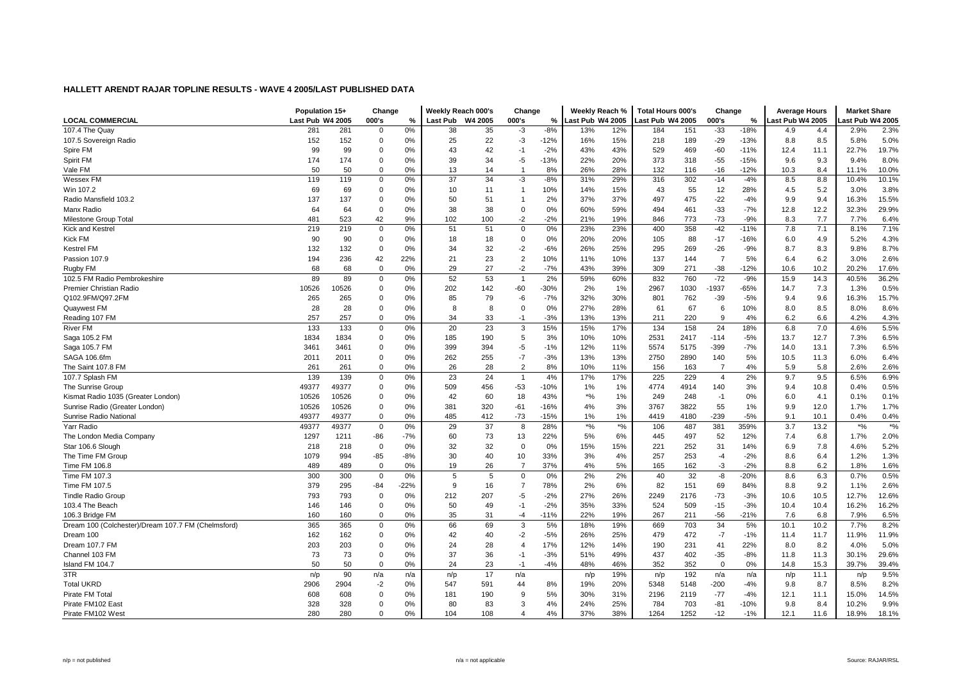|                                                    | Population 15+   |       | Change      |        | Weekly Reach 000's |         | Change         |        | Weekly Reach %   |         | <b>Total Hours 000's</b> |      | Change         |        | <b>Average Hours</b> |      | <b>Market Share</b> |       |
|----------------------------------------------------|------------------|-------|-------------|--------|--------------------|---------|----------------|--------|------------------|---------|--------------------------|------|----------------|--------|----------------------|------|---------------------|-------|
| <b>LOCAL COMMERCIAL</b>                            | Last Pub W4 2005 |       | 000's       | %      | Last Pub           | W4 2005 | 000's          | %      | Last Pub W4 2005 |         | ast Pub W4 2005          |      | 000's          | %      | ast Pub W4 2005      |      | ast Pub W4 2005     |       |
| 107.4 The Quay                                     | 281              | 281   | $\mathbf 0$ | 0%     | 38                 | 35      | -3             | $-8%$  | 13%              | 12%     | 184                      | 151  | $-33$          | $-18%$ | 4.9                  | 4.4  | 2.9%                | 2.3%  |
| 107.5 Sovereign Radio                              | 152              | 152   | $\Omega$    | 0%     | 25                 | 22      | -3             | $-12%$ | 16%              | 15%     | 218                      | 189  | $-29$          | $-13%$ | 8.8                  | 8.5  | 5.8%                | 5.0%  |
| Spire FM                                           | 99               | 99    | $\Omega$    | 0%     | 43                 | 42      | $-1$           | $-2%$  | 43%              | 43%     | 529                      | 469  | $-60$          | $-11%$ | 12.4                 | 11.1 | 22.7%               | 19.7% |
| Spirit FM                                          | 174              | 174   | $\mathbf 0$ | 0%     | 39                 | 34      | $-5$           | $-13%$ | 22%              | 20%     | 373                      | 318  | $-55$          | $-15%$ | 9.6                  | 9.3  | 9.4%                | 8.0%  |
| Vale FM                                            | 50               | 50    | $\Omega$    | 0%     | 13                 | 14      | $\overline{1}$ | 8%     | 26%              | 28%     | 132                      | 116  | $-16$          | $-12%$ | 10.3                 | 8.4  | 11.1%               | 10.0% |
| Wessex FM                                          | 119              | 119   | $\mathbf 0$ | 0%     | 37                 | 34      | $-3$           | $-8%$  | 31%              | 29%     | 316                      | 302  | $-14$          | $-4%$  | 8.5                  | 8.8  | 10.4%               | 10.1% |
| Win 107.2                                          | 69               | 69    | $\mathbf 0$ | 0%     | 10                 | 11      | $\overline{1}$ | 10%    | 14%              | 15%     | 43                       | 55   | 12             | 28%    | 4.5                  | 5.2  | 3.0%                | 3.8%  |
| Radio Mansfield 103.2                              | 137              | 137   | $\mathbf 0$ | 0%     | 50                 | 51      |                | 2%     | 37%              | 37%     | 497                      | 475  | $-22$          | $-4%$  | 9.9                  | 9.4  | 16.3%               | 15.5% |
| Manx Radio                                         | 64               | 64    | $\Omega$    | 0%     | 38                 | 38      | $\Omega$       | 0%     | 60%              | 59%     | 494                      | 461  | $-33$          | $-7%$  | 12.8                 | 12.2 | 32.3%               | 29.9% |
| Milestone Group Total                              | 481              | 523   | 42          | 9%     | 102                | 100     | $-2$           | $-2%$  | 21%              | 19%     | 846                      | 773  | $-73$          | $-9%$  | 8.3                  | 7.7  | 7.7%                | 6.4%  |
| <b>Kick and Kestrel</b>                            | 219              | 219   | $\mathbf 0$ | 0%     | 51                 | 51      | $\mathbf 0$    | 0%     | 23%              | 23%     | 400                      | 358  | $-42$          | $-11%$ | 7.8                  | 7.1  | 8.1%                | 7.1%  |
| Kick FM                                            | 90               | 90    | $\mathbf 0$ | 0%     | 18                 | 18      | $\mathbf 0$    | 0%     | 20%              | 20%     | 105                      | 88   | $-17$          | $-16%$ | 6.0                  | 4.9  | 5.2%                | 4.3%  |
| <b>Kestrel FM</b>                                  | 132              | 132   | $\mathbf 0$ | 0%     | 34                 | 32      | $-2$           | $-6%$  | 26%              | 25%     | 295                      | 269  | $-26$          | $-9%$  | 8.7                  | 8.3  | 9.8%                | 8.7%  |
| Passion 107.9                                      | 194              | 236   | 42          | 22%    | 21                 | 23      | $\overline{2}$ | 10%    | 11%              | 10%     | 137                      | 144  | $\overline{7}$ | 5%     | 6.4                  | 6.2  | 3.0%                | 2.6%  |
| Rugby FM                                           | 68               | 68    | $\Omega$    | 0%     | 29                 | 27      | $-2$           | $-7%$  | 43%              | 39%     | 309                      | 271  | $-38$          | $-12%$ | 10.6                 | 10.2 | 20.2%               | 17.6% |
| 102.5 FM Radio Pembrokeshire                       | 89               | 89    | $\mathbf 0$ | 0%     | 52                 | 53      | $\overline{1}$ | 2%     | 59%              | 60%     | 832                      | 760  | $-72$          | $-9%$  | 15.9                 | 14.3 | 40.5%               | 36.2% |
| Premier Christian Radio                            | 10526            | 0526  | $\mathbf 0$ | 0%     | 202                | 142     | $-60$          | $-30%$ | 2%               | 1%      | 2967                     | 1030 | 1937           | $-65%$ | 14.7                 | 7.3  | 1.3%                | 0.5%  |
| Q102.9FM/Q97.2FM                                   | 265              | 265   | $\mathbf 0$ | 0%     | 85                 | 79      | -6             | $-7%$  | 32%              | 30%     | 801                      | 762  | $-39$          | $-5%$  | 9.4                  | 9.6  | 16.3%               | 15.7% |
| Quaywest FM                                        | 28               | 28    | $\mathbf 0$ | 0%     | 8                  | 8       | $\mathbf 0$    | 0%     | 27%              | 28%     | 61                       | 67   | 6              | 10%    | 8.0                  | 8.5  | 8.0%                | 8.6%  |
| Reading 107 FM                                     | 257              | 257   | $\Omega$    | 0%     | 34                 | 33      | $-1$           | $-3%$  | 13%              | 13%     | 211                      | 220  | $\mathbf{Q}$   | 4%     | 6.2                  | 6.6  | 4.2%                | 4.3%  |
| <b>River FM</b>                                    | 133              | 133   | $\Omega$    | 0%     | 20                 | 23      | 3              | 15%    | 15%              | 17%     | 134                      | 158  | 24             | 18%    | 6.8                  | 7.0  | 4.6%                | 5.5%  |
| Saga 105.2 FM                                      | 1834             | 1834  | $\mathbf 0$ | 0%     | 185                | 190     | 5              | 3%     | 10%              | 10%     | 2531                     | 2417 | $-114$         | $-5%$  | 13.7                 | 12.7 | 7.3%                | 6.5%  |
| Saga 105.7 FM                                      | 3461             | 3461  | $\mathbf 0$ | 0%     | 399                | 394     | $-5$           | $-1%$  | 12%              | 11%     | 5574                     | 5175 | $-399$         | $-7%$  | 14.0                 | 13.1 | 7.3%                | 6.5%  |
| SAGA 106.6fm                                       | 2011             | 2011  | $\mathbf 0$ | 0%     | 262                | 255     | $-7$           | $-3%$  | 13%              | 13%     | 2750                     | 2890 | 140            | 5%     | 10.5                 | 11.3 | 6.0%                | 6.4%  |
| The Saint 107.8 FM                                 | 261              | 261   | $\mathbf 0$ | 0%     | 26                 | 28      | $\overline{2}$ | 8%     | 10%              | 11%     | 156                      | 163  | $\overline{7}$ | 4%     | 5.9                  | 5.8  | 2.6%                | 2.6%  |
| 107.7 Splash FM                                    | 139              | 139   | $\mathbf 0$ | 0%     | 23                 | 24      | $\overline{1}$ | 4%     | 17%              | 17%     | 225                      | 229  | $\overline{4}$ | 2%     | 9.7                  | 9.5  | 6.5%                | 6.9%  |
| The Sunrise Group                                  | 49377            | 49377 | $\Omega$    | 0%     | 509                | 456     | $-53$          | $-10%$ | 1%               | 1%      | 4774                     | 4914 | 140            | 3%     | 9.4                  | 10.8 | 0.4%                | 0.5%  |
| Kismat Radio 1035 (Greater London)                 | 10526            | 10526 | $\mathbf 0$ | 0%     | 42                 | 60      | 18             | 43%    | *%               | 1%      | 249                      | 248  | $-1$           | 0%     | 6.0                  | 4.1  | 0.1%                | 0.1%  |
| Sunrise Radio (Greater London)                     | 10526            | 10526 | $\mathbf 0$ | 0%     | 381                | 320     | $-61$          | $-16%$ | 4%               | 3%      | 3767                     | 3822 | 55             | 1%     | 9.9                  | 12.0 | 1.7%                | 1.7%  |
| Sunrise Radio National                             | 49377            | 49377 | $\Omega$    | 0%     | 485                | 412     | $-73$          | $-15%$ | 1%               | 1%      | 4419                     | 4180 | $-239$         | $-5%$  | 9.1                  | 10.1 | 0.4%                | 0.4%  |
| Yarr Radio                                         | 49377            | 49377 | $\mathbf 0$ | 0%     | 29                 | 37      | 8              | 28%    | $^{*9}$          | $*o/_0$ | 106                      | 487  | 381            | 359%   | 3.7                  | 13.2 | $*$ %               | $*$ % |
| The London Media Company                           | 1297             | 1211  | -86         | $-7%$  | 60                 | 73      | 13             | 22%    | 5%               | 6%      | 445                      | 497  | 52             | 12%    | 7.4                  | 6.8  | 1.7%                | 2.0%  |
| Star 106.6 Slough                                  | 218              | 218   | $\mathbf 0$ | 0%     | 32                 | 32      | $\mathbf 0$    | 0%     | 15%              | 15%     | 221                      | 252  | 31             | 14%    | 6.9                  | 7.8  | 4.6%                | 5.2%  |
| The Time FM Group                                  | 1079             | 994   | $-85$       | $-8%$  | 30                 | 40      | 10             | 33%    | 3%               | 4%      | 257                      | 253  | $-4$           | $-2%$  | 8.6                  | 6.4  | 1.2%                | 1.3%  |
| Time FM 106.8                                      | 489              | 489   | $\mathbf 0$ | 0%     | 19                 | 26      | $\overline{7}$ | 37%    | 4%               | 5%      | 165                      | 162  | -3             | $-2%$  | 8.8                  | 6.2  | 1.8%                | 1.6%  |
| Time FM 107.3                                      | 300              | 300   | $\mathbf 0$ | 0%     | 5                  | 5       | $\Omega$       | 0%     | 2%               | 2%      | 40                       | 32   | -8             | $-20%$ | 8.6                  | 6.3  | 0.7%                | 0.5%  |
| Time FM 107.5                                      | 379              | 295   | -84         | $-22%$ | 9                  | 16      | $\overline{7}$ | 78%    | 2%               | 6%      | 82                       | 151  | 69             | 84%    | 8.8                  | 9.2  | 1.1%                | 2.6%  |
| <b>Tindle Radio Group</b>                          | 793              | 793   | $\mathbf 0$ | 0%     | 212                | 207     | $-5$           | $-2%$  | 27%              | 26%     | 2249                     | 2176 | $-73$          | $-3%$  | 10.6                 | 10.5 | 12.7%               | 12.6% |
| 103.4 The Beach                                    | 146              | 146   | $\mathbf 0$ | 0%     | 50                 | 49      | $-1$           | $-2%$  | 35%              | 33%     | 524                      | 509  | $-15$          | $-3%$  | 10.4                 | 10.4 | 16.2%               | 16.2% |
| 106.3 Bridge FM                                    | 160              | 160   | $\mathbf 0$ | 0%     | 35                 | 31      | $-4$           | $-11%$ | 22%              | 19%     | 267                      | 211  | $-56$          | $-21%$ | 7.6                  | 6.8  | 7.9%                | 6.5%  |
| Dream 100 (Colchester)/Dream 107.7 FM (Chelmsford) | 365              | 365   | $\mathbf 0$ | 0%     | 66                 | 69      | 3              | 5%     | 18%              | 19%     | 669                      | 703  | 34             | 5%     | 10.1                 | 10.2 | 7.7%                | 8.2%  |
| Dream 100                                          | 162              | 162   | $\mathbf 0$ | 0%     | 42                 | 40      | $-2$           | $-5%$  | 26%              | 25%     | 479                      | 472  | $-7$           | $-1%$  | 11.4                 | 11.7 | 11.9%               | 11.9% |
| Dream 107.7 FM                                     | 203              | 203   | $\mathbf 0$ | 0%     | 24                 | 28      | $\overline{4}$ | 17%    | 12%              | 14%     | 190                      | 231  | 41             | 22%    | 8.0                  | 8.2  | 4.0%                | 5.0%  |
| Channel 103 FM                                     | 73               | 73    | $\mathbf 0$ | 0%     | 37                 | 36      | $-1$           | $-3%$  | 51%              | 49%     | 437                      | 402  | $-35$          | $-8%$  | 11.8                 | 11.3 | 30.1%               | 29.6% |
| Island FM 104.7                                    | 50               | 50    | $\mathbf 0$ | 0%     | 24                 | 23      | $-1$           | $-4%$  | 48%              | 46%     | 352                      | 352  | $\mathbf 0$    | 0%     | 14.8                 | 15.3 | 39.7%               | 39.4% |
| 3TR                                                | n/p              | 90    | n/a         | n/a    | n/p                | 17      | n/a            |        | n/p              | 19%     | n/p                      | 192  | n/a            | n/a    | n/p                  | 11.1 | n/p                 | 9.5%  |
| <b>Total UKRD</b>                                  | 2906             | 2904  | $-2$        | 0%     | 547                | 591     | 44             | 8%     | 19%              | 20%     | 5348                     | 5148 | $-200$         | $-4%$  | 9.8                  | 8.7  | 8.5%                | 8.2%  |
| Pirate FM Total                                    | 608              | 608   | $\mathbf 0$ | 0%     | 181                | 190     | 9              | 5%     | 30%              | 31%     | 2196                     | 2119 | $-77$          | $-4%$  | 12.1                 | 11.1 | 15.0%               | 14.5% |
| Pirate FM102 East                                  | 328              | 328   | $\mathbf 0$ | 0%     | 80                 | 83      | 3              | 4%     | 24%              | 25%     | 784                      | 703  | $-81$          | $-10%$ | 9.8                  | 8.4  | 10.2%               | 9.9%  |
| Pirate FM102 West                                  | 280              | 280   | $\Omega$    | 0%     | 104                | 108     | $\Delta$       | 4%     | 37%              | 38%     | 1264                     | 1252 | $-12$          | $-1%$  | 12.1                 | 11.6 | 18.9%               | 18.1% |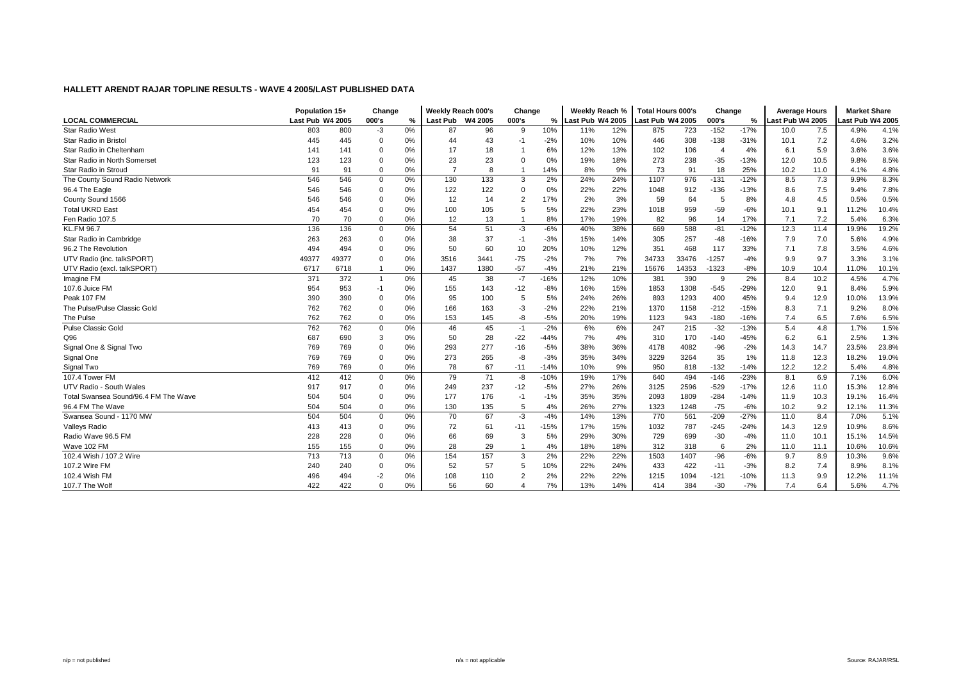|                                      | Population 15+   |       | Change         |       | Weekly Reach 000's |      | Change         |        | Weekly Reach %   |     | <b>Total Hours 000's</b> |       | Change         |        | <b>Average Hours</b> |      | <b>Market Share</b> |       |
|--------------------------------------|------------------|-------|----------------|-------|--------------------|------|----------------|--------|------------------|-----|--------------------------|-------|----------------|--------|----------------------|------|---------------------|-------|
| <b>LOCAL COMMERCIAL</b>              | Last Pub W4 2005 |       | 000's          | %     | Last Pub W4 2005   |      | 000's          | %      | Last Pub W4 2005 |     | Last Pub W4 2005         |       | 000's          | %      | Last Pub W4 2005     |      | ast Pub W4 2005.    |       |
| <b>Star Radio West</b>               | 803              | 800   | $-3$           | 0%    | 87                 | 96   | -9             | 10%    | 11%              | 12% | 875                      | 723   | $-152$         | $-17%$ | 10.0                 | 7.5  | 4.9%                | 4.1%  |
| Star Radio in Bristol                | 445              | 445   | 0              | 0%    | 44                 | 43   | -1             | $-2%$  | 10%              | 10% | 446                      | 308   | $-138$         | $-31%$ | 10.1                 | 7.2  | 4.6%                | 3.2%  |
| Star Radio in Cheltenham             | 141              | 141   | 0              | 0%    | 17                 | 18   |                | 6%     | 12%              | 13% | 102                      | 106   | $\overline{4}$ | 4%     | 6.1                  | 5.9  | 3.6%                | 3.6%  |
| Star Radio in North Somerset         | 123              | 123   | 0              | 0%    | 23                 | 23   | $\Omega$       | 0%     | 19%              | 18% | 273                      | 238   | $-35$          | $-13%$ | 12.0                 | 10.5 | 9.8%                | 8.5%  |
| Star Radio in Stroud                 | 91               | 91    | $\mathbf 0$    | 0%    | $\overline{7}$     | 8    |                | 14%    | 8%               | 9%  | 73                       | 91    | 18             | 25%    | 10.2                 | 11.0 | 4.1%                | 4.8%  |
| The County Sound Radio Network       | 546              | 546   | 0              | 0%    | 130                | 133  | 3              | 2%     | 24%              | 24% | 1107                     | 976   | $-131$         | $-12%$ | 8.5                  | 7.3  | 9.9%                | 8.3%  |
| 96.4 The Eagle                       | 546              | 546   | 0              | 0%    | 122                | 122  | $\Omega$       | 0%     | 22%              | 22% | 1048                     | 912   | $-136$         | $-13%$ | 8.6                  | 7.5  | 9.4%                | 7.8%  |
| County Sound 1566                    | 546              | 546   | 0              | $0\%$ | 12                 | 14   | $\overline{2}$ | 17%    | 2%               | 3%  | 59                       | 64    | -5             | 8%     | 4.8                  | 4.5  | 0.5%                | 0.5%  |
| <b>Total UKRD East</b>               | 454              | 454   | $\mathbf 0$    | 0%    | 100                | 105  | 5              | 5%     | 22%              | 23% | 1018                     | 959   | $-59$          | $-6%$  | 10.1                 | 9.1  | 11.2%               | 10.4% |
| Fen Radio 107.5                      | 70               | 70    | $\mathbf 0$    | 0%    | 12                 | 13   |                | 8%     | 17%              | 19% | 82                       | 96    | 14             | 17%    | 7.1                  | 7.2  | 5.4%                | 6.3%  |
| <b>KL.FM 96.7</b>                    | 136              | 136   | $\mathbf 0$    | 0%    | 54                 | 51   | -3             | $-6%$  | 40%              | 38% | 669                      | 588   | $-81$          | $-12%$ | 12.3                 | 11.4 | 19.9%               | 19.2% |
| Star Radio in Cambridge              | 263              | 263   | $\mathbf 0$    | 0%    | 38                 | 37   | $-1$           | $-3%$  | 15%              | 14% | 305                      | 257   | $-48$          | $-16%$ | 7.9                  | 7.0  | 5.6%                | 4.9%  |
| 96.2 The Revolution                  | 494              | 494   | 0              | 0%    | 50                 | 60   | 10             | 20%    | 10%              | 12% | 351                      | 468   | 117            | 33%    | 7.1                  | 7.8  | 3.5%                | 4.6%  |
| UTV Radio (inc. talkSPORT)           | 49377            | 49377 | 0              | 0%    | 3516               | 3441 | $-75$          | $-2%$  | 7%               | 7%  | 34733                    | 33476 | $-1257$        | $-4%$  | 9.9                  | 9.7  | 3.3%                | 3.1%  |
| UTV Radio (excl. talkSPORT)          | 6717             | 6718  | -1             | 0%    | 1437               | 1380 | $-57$          | $-4%$  | 21%              | 21% | 15676                    | 14353 | $-1323$        | $-8%$  | 10.9                 | 10.4 | 11.0%               | 10.1% |
| Imagine FM                           | 371              | 372   | $\overline{1}$ | 0%    | 45                 | 38   | $-7$           | $-16%$ | 12%              | 10% | 381                      | 390   | -9             | 2%     | 8.4                  | 10.2 | 4.5%                | 4.7%  |
| 107.6 Juice FM                       | 954              | 953   | $-1$           | 0%    | 155                | 143  | $-12$          | $-8%$  | 16%              | 15% | 1853                     | 1308  | $-545$         | $-29%$ | 12.0                 | 9.1  | 8.4%                | 5.9%  |
| Peak 107 FM                          | 390              | 390   | 0              | 0%    | 95                 | 100  | 5              | 5%     | 24%              | 26% | 893                      | 1293  | 400            | 45%    | 9.4                  | 12.9 | 10.0%               | 13.9% |
| The Pulse/Pulse Classic Gold         | 762              | 762   | 0              | 0%    | 166                | 163  | -3             | $-2%$  | 22%              | 21% | 1370                     | 1158  | $-212$         | $-15%$ | 8.3                  | 7.1  | 9.2%                | 8.0%  |
| The Pulse                            | 762              | 762   | $\mathbf 0$    | 0%    | 153                | 145  | -8             | $-5%$  | 20%              | 19% | 1123                     | 943   | $-180$         | $-16%$ | 7.4                  | 6.5  | 7.6%                | 6.5%  |
| <b>Pulse Classic Gold</b>            | 762              | 762   | 0              | 0%    | 46                 | 45   | $-1$           | $-2%$  | 6%               | 6%  | 247                      | 215   | $-32$          | $-13%$ | 5.4                  | 4.8  | 1.7%                | 1.5%  |
| Q96                                  | 687              | 690   | 3              | 0%    | 50                 | 28   | $-22$          | $-44%$ | 7%               | 4%  | 310                      | 170   | $-140$         | $-45%$ | 6.2                  | 6.1  | 2.5%                | 1.3%  |
| Signal One & Signal Two              | 769              | 769   | $\mathbf 0$    | 0%    | 293                | 277  | $-16$          | $-5%$  | 38%              | 36% | 4178                     | 4082  | $-96$          | $-2%$  | 14.3                 | 14.7 | 23.5%               | 23.8% |
| Signal One                           | 769              | 769   | 0              | 0%    | 273                | 265  | -8             | $-3%$  | 35%              | 34% | 3229                     | 3264  | 35             | 1%     | 11.8                 | 12.3 | 18.2%               | 19.0% |
| Signal Two                           | 769              | 769   | $\mathbf 0$    | 0%    | 78                 | 67   | $-11$          | $-14%$ | 10%              | 9%  | 950                      | 818   | $-132$         | $-14%$ | 12.2                 | 12.2 | 5.4%                | 4.8%  |
| 107.4 Tower FM                       | 412              | 412   | $\mathbf 0$    | 0%    | 79                 | 71   | -8             | $-10%$ | 19%              | 17% | 640                      | 494   | $-146$         | $-23%$ | 8.1                  | 6.9  | 7.1%                | 6.0%  |
| UTV Radio - South Wales              | 917              | 917   | $\Omega$       | 0%    | 249                | 237  | $-12$          | $-5%$  | 27%              | 26% | 3125                     | 2596  | $-529$         | $-17%$ | 12.6                 | 11.0 | 15.3%               | 12.8% |
| Total Swansea Sound/96.4 FM The Wave | 504              | 504   | 0              | $0\%$ | 177                | 176  | -1             | $-1%$  | 35%              | 35% | 2093                     | 1809  | $-284$         | $-14%$ | 11.9                 | 10.3 | 19.1%               | 16.4% |
| 96.4 FM The Wave                     | 504              | 504   | $\mathbf 0$    | 0%    | 130                | 135  | 5              | 4%     | 26%              | 27% | 1323                     | 1248  | $-75$          | $-6%$  | 10.2                 | 9.2  | 12.1%               | 11.3% |
| Swansea Sound - 1170 MW              | 504              | 504   | $\mathbf 0$    | 0%    | 70                 | 67   | $-3$           | $-4%$  | 14%              | 13% | 770                      | 561   | $-209$         | $-27%$ | 11.0                 | 8.4  | 7.0%                | 5.1%  |
| <b>Valleys Radio</b>                 | 413              | 413   | $\mathbf 0$    | 0%    | 72                 | 61   | $-11$          | $-15%$ | 17%              | 15% | 1032                     | 787   | $-245$         | $-24%$ | 14.3                 | 12.9 | 10.9%               | 8.6%  |
| Radio Wave 96.5 FM                   | 228              | 228   | $\mathbf 0$    | 0%    | 66                 | 69   | 3              | 5%     | 29%              | 30% | 729                      | 699   | $-30$          | $-4%$  | 11.0                 | 10.1 | 15.1%               | 14.5% |
| Wave 102 FM                          | 155              | 155   | $\mathbf 0$    | 0%    | 28                 | 29   |                | 4%     | 18%              | 18% | 312                      | 318   | 6              | 2%     | 11.0                 | 11.1 | 10.6%               | 10.6% |
| 102.4 Wish / 107.2 Wire              | 713              | 713   | $\mathbf 0$    | 0%    | 154                | 157  | 3              | 2%     | 22%              | 22% | 1503                     | 1407  | $-96$          | $-6%$  | 9.7                  | 8.9  | 10.3%               | 9.6%  |
| 107.2 Wire FM                        | 240              | 240   | 0              | 0%    | 52                 | 57   | 5              | 10%    | 22%              | 24% | 433                      | 422   | $-11$          | $-3%$  | 8.2                  | 7.4  | 8.9%                | 8.1%  |
| 102.4 Wish FM                        | 496              | 494   | $-2$           | 0%    | 108                | 110  |                | 2%     | 22%              | 22% | 1215                     | 1094  | $-121$         | $-10%$ | 11.3                 | 9.9  | 12.2%               | 11.1% |
| 107.7 The Wolf                       | 422              | 422   | $\Omega$       | 0%    | 56                 | 60   | $\Delta$       | 7%     | 13%              | 14% | 414                      | 384   | $-30$          | $-7%$  | 7.4                  | 6.4  | 5.6%                | 4.7%  |